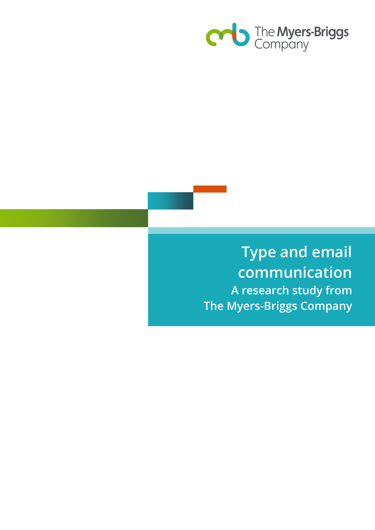

# **Type and email communication A research study from The Myers-Briggs Company**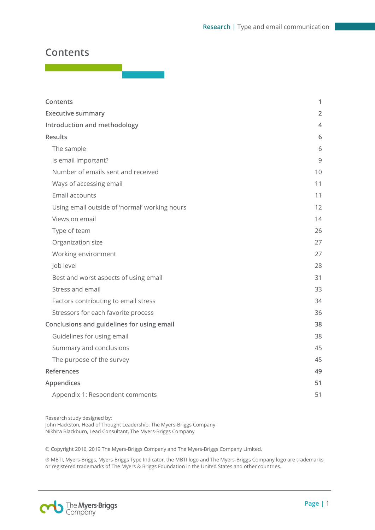# <span id="page-1-0"></span>**Contents**

| Contents                                      | 1              |
|-----------------------------------------------|----------------|
| <b>Executive summary</b>                      | $\overline{2}$ |
| Introduction and methodology                  | 4              |
| <b>Results</b>                                | 6              |
| The sample                                    | 6              |
| Is email important?                           | 9              |
| Number of emails sent and received            | 10             |
| Ways of accessing email                       | 11             |
| Email accounts                                | 11             |
| Using email outside of 'normal' working hours | 12             |
| Views on email                                | 14             |
| Type of team                                  | 26             |
| Organization size                             | 27             |
| Working environment                           | 27             |
| Job level                                     | 28             |
| Best and worst aspects of using email         | 31             |
| Stress and email                              | 33             |
| Factors contributing to email stress          | 34             |
| Stressors for each favorite process           | 36             |
| Conclusions and guidelines for using email    | 38             |
| Guidelines for using email                    | 38             |
| Summary and conclusions                       | 45             |
| The purpose of the survey                     | 45             |
| References                                    | 49             |
| Appendices                                    | 51             |
| Appendix 1: Respondent comments               | 51             |

Research study designed by: John Hackston, Head of Thought Leadership, The Myers-Briggs Company Nikhita Blackburn, Lead Consultant, The Myers-Briggs Company

© Copyright 2016, 2019 The Myers-Briggs Company and The Myers-Briggs Company Limited.

® MBTI, Myers-Briggs, Myers-Briggs Type Indicator, the MBTI logo and The Myers-Briggs Company logo are trademarks or registered trademarks of The Myers & Briggs Foundation in the United States and other countries.

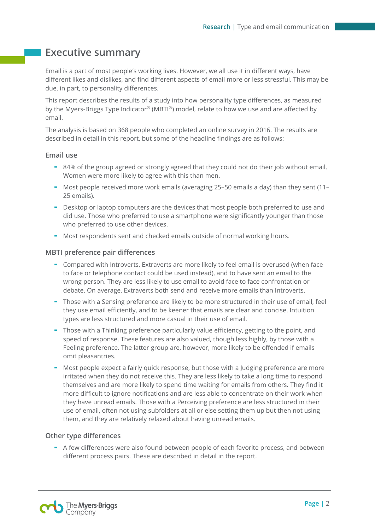# <span id="page-2-0"></span>**Executive summary**

Email is a part of most people's working lives. However, we all use it in different ways, have different likes and dislikes, and find different aspects of email more or less stressful. This may be due, in part, to personality differences.

This report describes the results of a study into how personality type differences, as measured by the Myers-Briggs Type Indicator® (MBTI®) model, relate to how we use and are affected by email.

The analysis is based on 368 people who completed an online survey in 2016. The results are described in detail in this report, but some of the headline findings are as follows:

#### **Email use**

- 84% of the group agreed or strongly agreed that they could not do their job without email. Women were more likely to agree with this than men.
- Most people received more work emails (averaging 25–50 emails a day) than they sent (11– 25 emails).
- Desktop or laptop computers are the devices that most people both preferred to use and did use. Those who preferred to use a smartphone were significantly younger than those who preferred to use other devices.
- Most respondents sent and checked emails outside of normal working hours.

#### **MBTI preference pair differences**

- Compared with Introverts, Extraverts are more likely to feel email is overused (when face to face or telephone contact could be used instead), and to have sent an email to the wrong person. They are less likely to use email to avoid face to face confrontation or debate. On average, Extraverts both send and receive more emails than Introverts.
- Those with a Sensing preference are likely to be more structured in their use of email, feel they use email efficiently, and to be keener that emails are clear and concise. Intuition types are less structured and more casual in their use of email.
- Those with a Thinking preference particularly value efficiency, getting to the point, and speed of response. These features are also valued, though less highly, by those with a Feeling preference. The latter group are, however, more likely to be offended if emails omit pleasantries.
- Most people expect a fairly quick response, but those with a Judging preference are more irritated when they do not receive this. They are less likely to take a long time to respond themselves and are more likely to spend time waiting for emails from others. They find it more difficult to ignore notifications and are less able to concentrate on their work when they have unread emails. Those with a Perceiving preference are less structured in their use of email, often not using subfolders at all or else setting them up but then not using them, and they are relatively relaxed about having unread emails.

#### **Other type differences**

- A few differences were also found between people of each favorite process, and between different process pairs. These are described in detail in the report.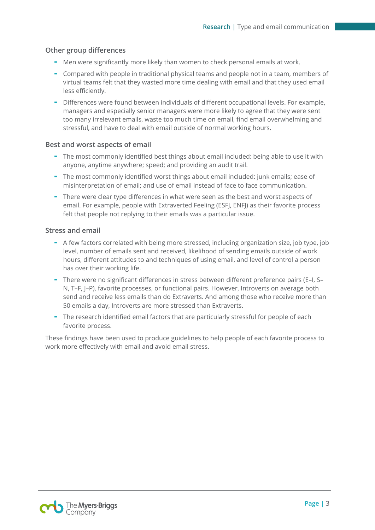#### **Other group differences**

- Men were significantly more likely than women to check personal emails at work.
- Compared with people in traditional physical teams and people not in a team, members of virtual teams felt that they wasted more time dealing with email and that they used email less efficiently.
- Differences were found between individuals of different occupational levels. For example, managers and especially senior managers were more likely to agree that they were sent too many irrelevant emails, waste too much time on email, find email overwhelming and stressful, and have to deal with email outside of normal working hours.

#### **Best and worst aspects of email**

- The most commonly identified best things about email included: being able to use it with anyone, anytime anywhere; speed; and providing an audit trail.
- The most commonly identified worst things about email included: junk emails; ease of misinterpretation of email; and use of email instead of face to face communication.
- There were clear type differences in what were seen as the best and worst aspects of email. For example, people with Extraverted Feeling (ESFJ, ENFJ) as their favorite process felt that people not replying to their emails was a particular issue.

#### **Stress and email**

- A few factors correlated with being more stressed, including organization size, job type, job level, number of emails sent and received, likelihood of sending emails outside of work hours, different attitudes to and techniques of using email, and level of control a person has over their working life.
- There were no significant differences in stress between different preference pairs (E–I, S– N, T–F, J–P), favorite processes, or functional pairs. However, Introverts on average both send and receive less emails than do Extraverts. And among those who receive more than 50 emails a day, Introverts are more stressed than Extraverts.
- The research identified email factors that are particularly stressful for people of each favorite process.

These findings have been used to produce guidelines to help people of each favorite process to work more effectively with email and avoid email stress.

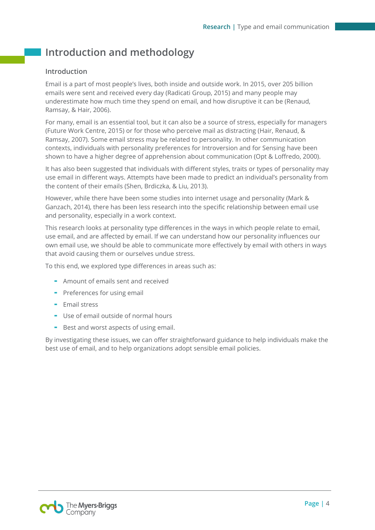# <span id="page-4-0"></span>**Introduction and methodology**

#### **Introduction**

Email is a part of most people's lives, both inside and outside work. In 2015, over 205 billion emails were sent and received every day (Radicati Group, 2015) and many people may underestimate how much time they spend on email, and how disruptive it can be (Renaud, Ramsay, & Hair, 2006).

For many, email is an essential tool, but it can also be a source of stress, especially for managers (Future Work Centre, 2015) or for those who perceive mail as distracting (Hair, Renaud, & Ramsay, 2007). Some email stress may be related to personality. In other communication contexts, individuals with personality preferences for Introversion and for Sensing have been shown to have a higher degree of apprehension about communication (Opt & Loffredo, 2000).

It has also been suggested that individuals with different styles, traits or types of personality may use email in different ways. Attempts have been made to predict an individual's personality from the content of their emails (Shen, Brdiczka, & Liu, 2013).

However, while there have been some studies into internet usage and personality (Mark & Ganzach, 2014), there has been less research into the specific relationship between email use and personality, especially in a work context.

This research looks at personality type differences in the ways in which people relate to email, use email, and are affected by email. If we can understand how our personality influences our own email use, we should be able to communicate more effectively by email with others in ways that avoid causing them or ourselves undue stress.

To this end, we explored type differences in areas such as:

- Amount of emails sent and received
- Preferences for using email
- Email stress
- Use of email outside of normal hours
- Best and worst aspects of using email.

By investigating these issues, we can offer straightforward guidance to help individuals make the best use of email, and to help organizations adopt sensible email policies.

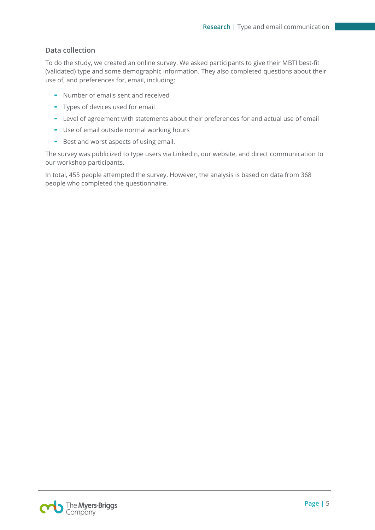#### **Data collection**

To do the study, we created an online survey. We asked participants to give their MBTI best-fit (validated) type and some demographic information. They also completed questions about their use of, and preferences for, email, including:

- Number of emails sent and received
- Types of devices used for email
- Level of agreement with statements about their preferences for and actual use of email
- Use of email outside normal working hours
- Best and worst aspects of using email.

The survey was publicized to type users via LinkedIn, our website, and direct communication to our workshop participants.

In total, 455 people attempted the survey. However, the analysis is based on data from 368 people who completed the questionnaire.

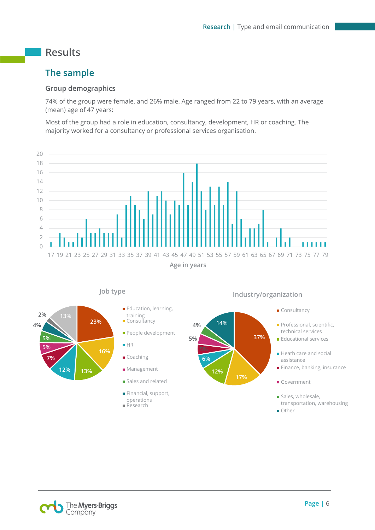# <span id="page-6-0"></span>**Results**

# <span id="page-6-1"></span>**The sample**

#### **Group demographics**

74% of the group were female, and 26% male. Age ranged from 22 to 79 years, with an average (mean) age of 47 years:

Most of the group had a role in education, consultancy, development, HR or coaching. The majority worked for a consultancy or professional services organisation.





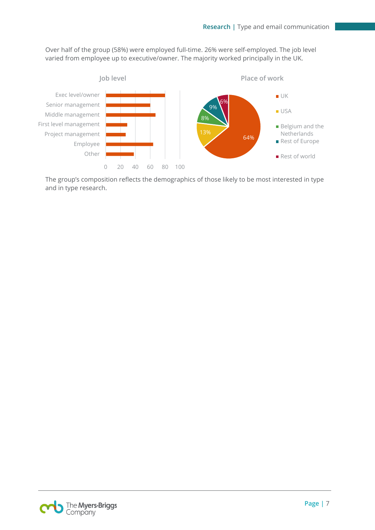Over half of the group (58%) were employed full-time. 26% were self-employed. The job level varied from employee up to executive/owner. The majority worked principally in the UK.



The group's composition reflects the demographics of those likely to be most interested in type and in type research.

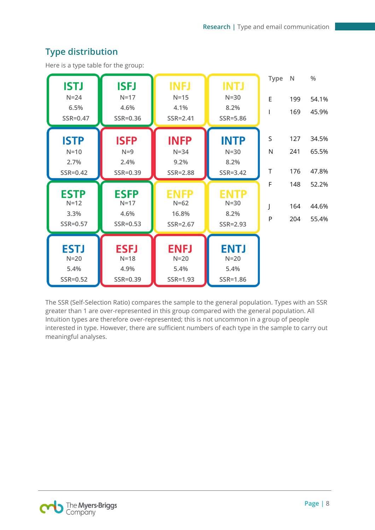#### **Type N % INFJ INTJ ISTJ ISEJ N=24 N=17 N=15 N=30** E 199 54.1% **6.5% 4.6% 4.1% 8.2%** I 169 45.9% **SSR=0.47 SSR=0.36 SSR=2.41 SSR=5.86 ISFP INFP** S 127 34.5% **ISTP INTP N=10** N 241 65.5% **N=9 N=34 N=30 2.7% 2.4% 9.2% 8.2%** T 176 47.8% **SSR=0.42 SSR=0.39 SSR=2.88 SSR=3.42** F 148 52.2% **ESTP ESFP** ENFP **ENTP N=12 N=17 N=62 N=30** J 164 44.6% **3.3% 4.6% 16.8% 8.2%** P 204 55.4% **SSR=0.57 SSR=0.53 SSR=2.67 SSR=2.93 ESFJ ESTJ ENFJ ENTJ N=20 N=18 N=20 N=20 5.4% 4.9% 5.4% 5.4% SSR=0.52 SSR=0.39 SSR=1.93 SSR=1.86**

# **Type distribution**

Here is a type table for the group:

The SSR (Self-Selection Ratio) compares the sample to the general population. Types with an SSR greater than 1 are over-represented in this group compared with the general population. All Intuition types are therefore over-represented; this is not uncommon in a group of people interested in type. However, there are sufficient numbers of each type in the sample to carry out meaningful analyses.

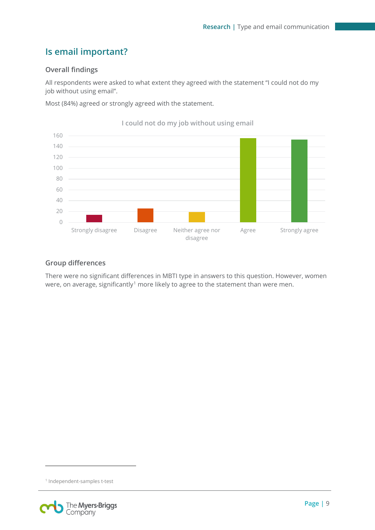# <span id="page-9-0"></span>**Is email important?**

### **Overall findings**

All respondents were asked to what extent they agreed with the statement "I could not do my job without using email".

Most (84%) agreed or strongly agreed with the statement.



**I could not do my job without using email**

#### **Group differences**

There were no significant differences in MBTI type in answers to this question. However, women were, on average, significantly<sup>[1](#page-9-1)</sup> more likely to agree to the statement than were men.

<span id="page-9-1"></span><sup>1</sup> Independent-samples t-test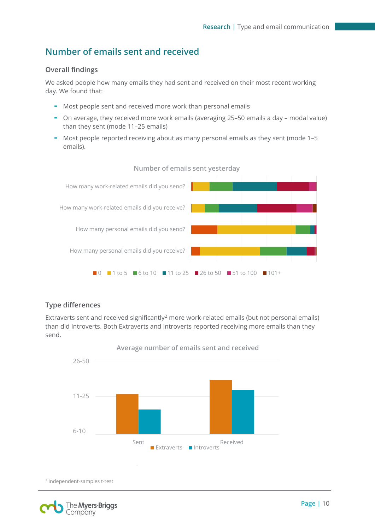# <span id="page-10-0"></span>**Number of emails sent and received**

#### **Overall findings**

We asked people how many emails they had sent and received on their most recent working day. We found that:

- Most people sent and received more work than personal emails
- On average, they received more work emails (averaging 25–50 emails a day modal value) than they sent (mode 11–25 emails)
- Most people reported receiving about as many personal emails as they sent (mode 1-5 emails).



#### **Number of emails sent yesterday**

#### **Type differences**

Extraverts sent and received significantly<sup>[2](#page-10-1)</sup> more work-related emails (but not personal emails) than did Introverts. Both Extraverts and Introverts reported receiving more emails than they send.



**Average number of emails sent and received**

<sup>2</sup> Independent-samples t-test

<span id="page-10-1"></span>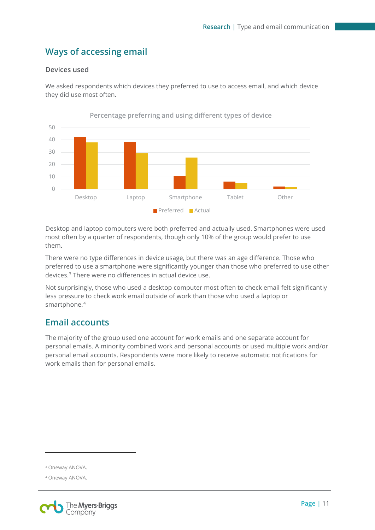# <span id="page-11-0"></span>**Ways of accessing email**

#### **Devices used**

We asked respondents which devices they preferred to use to access email, and which device they did use most often.



Desktop and laptop computers were both preferred and actually used. Smartphones were used most often by a quarter of respondents, though only 10% of the group would prefer to use them.

There were no type differences in device usage, but there was an age difference. Those who preferred to use a smartphone were significantly younger than those who preferred to use other devices.[3](#page-11-2) There were no differences in actual device use.

Not surprisingly, those who used a desktop computer most often to check email felt significantly less pressure to check work email outside of work than those who used a laptop or smartphone.<sup>[4](#page-11-3)</sup>

# <span id="page-11-1"></span>**Email accounts**

The majority of the group used one account for work emails and one separate account for personal emails. A minority combined work and personal accounts or used multiple work and/or personal email accounts. Respondents were more likely to receive automatic notifications for work emails than for personal emails.

<span id="page-11-3"></span><span id="page-11-2"></span><sup>4</sup> Oneway ANOVA.



<sup>3</sup> Oneway ANOVA.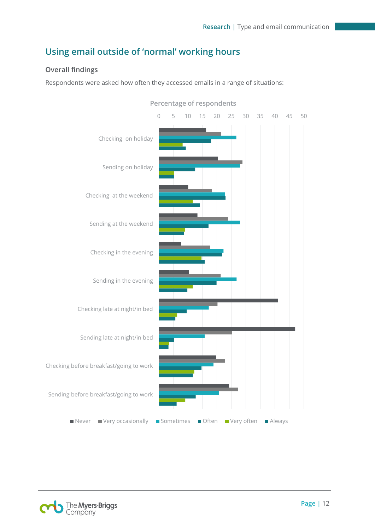# <span id="page-12-0"></span>**Using email outside of 'normal' working hours**

### **Overall findings**

Respondents were asked how often they accessed emails in a range of situations:



**Percentage of respondents**

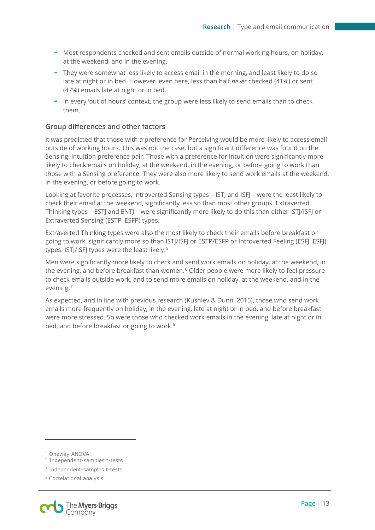- Most respondents checked and sent emails outside of normal working hours, on holiday, at the weekend, and in the evening.
- They were somewhat less likely to access email in the morning, and least likely to do so late at night or in bed. However, even here, less than half *never* checked (41%) or sent (47%) emails late at night or in bed.
- In every 'out of hours' context, the group were less likely to send emails than to check them.

#### **Group differences and other factors**

It was predicted that those with a preference for Perceiving would be more likely to access email outside of working hours. This was not the case, but a significant difference was found on the Sensing–Intuition preference pair. Those with a preference for Intuition were significantly more likely to check emails on holiday, at the weekend, in the evening, or before going to work than those with a Sensing preference. They were also more likely to send work emails at the weekend, in the evening, or before going to work.

Looking at favorite processes, Introverted Sensing types – ISTJ and ISFJ – were the least likely to check their email at the weekend, significantly less so than most other groups. Extraverted Thinking types – ESTJ and ENTJ – were significantly more likely to do this than either ISTJ/ISFJ or Extraverted Sensing (ESTP, ESFP) types.

Extraverted Thinking types were also the most likely to check their emails before breakfast or going to work, significantly more so than ISTJ/ISFJ or ESTP/ESFP or Introverted Feeling (ESFJ, ESFJ) types. ISTJ/ISFJ types were the least likely.<sup>[5](#page-13-0)</sup>

Men were significantly more likely to check and send work emails on holiday, at the weekend, in the evening, and before breakfast than women.<sup>[6](#page-13-1)</sup> Older people were more likely to feel pressure to check emails outside work, and to send more emails on holiday, at the weekend, and in the evening.[7](#page-13-2)

As expected, and in line with previous research (Kushlev & Dunn, 2015), those who send work emails more frequently on holiday, in the evening, late at night or in bed, and before breakfast were more stressed. So were those who checked work emails in the evening, late at night or in bed, and before breakfast or going to work.<sup>[8](#page-13-3)</sup>

<span id="page-13-3"></span><span id="page-13-2"></span><span id="page-13-1"></span><span id="page-13-0"></span><sup>8</sup> Correlational analysis



<sup>5</sup> Oneway ANOVA

<sup>6</sup> Independent-samples t-tests

<sup>7</sup> Independent-samples t-tests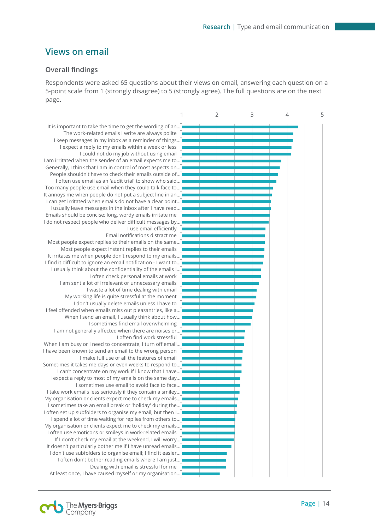## <span id="page-14-0"></span>**Views on email**

#### **Overall findings**

Respondents were asked 65 questions about their views on email, answering each question on a 5-point scale from 1 (strongly disagree) to 5 (strongly agree). The full questions are on the next page.

It is important to take the time to get the wording of an… The work-related emails I write are always polite I keep messages in my inbox as a reminder of things… I expect a reply to my emails within a week or less I could not do my job without using email I am irritated when the sender of an email expects me to… Generally, I think that I am in control of most aspects on… People shouldn't have to check their emails outside of… I often use email as an 'audit trial' to show who said… Too many people use email when they could talk face to… It annoys me when people do not put a subject line in an… I can get irritated when emails do not have a clear point… I usually leave messages in the inbox after I have read… Emails should be concise; long, wordy emails irritate me I do not respect people who deliver difficult messages by… I use email efficiently Email notifications distract me Most people expect replies to their emails on the same… Most people expect instant replies to their emails It irritates me when people don't respond to my emails… I find it difficult to ignore an email notification - I want to… I usually think about the confidentiality of the emails I… I often check personal emails at work I am sent a lot of irrelevant or unnecessary emails I waste a lot of time dealing with email My working life is quite stressful at the moment I don't usually delete emails unless I have to I feel offended when emails miss out pleasantries, like a… When I send an email, I usually think about how… I sometimes find email overwhelming I am not generally affected when there are noises or… I often find work stressful When I am busy or I need to concentrate, I turn off email… I have been known to send an email to the wrong person I make full use of all the features of email Sometimes it takes me days or even weeks to respond to… I can't concentrate on my work if I know that I have… I expect a reply to most of my emails on the same day… I sometimes use email to avoid face to face… I take work emails less seriously if they contain a smiley… My organisation or clients expect me to check my emails… I sometimes take an email break or 'holiday' during the… I often set up subfolders to organise my email, but then I… I spend a lot of time waiting for replies from others to… My organisation or clients expect me to check my emails… I often use emoticons or smileys in work-related emails If I don't check my email at the weekend, I will worry… It doesn't particularly bother me if I have unread emails… I don't use subfolders to organise email; I find it easier… I often don't bother reading emails where I am just… Dealing with email is stressful for me At least once, I have caused myself or my organisation…



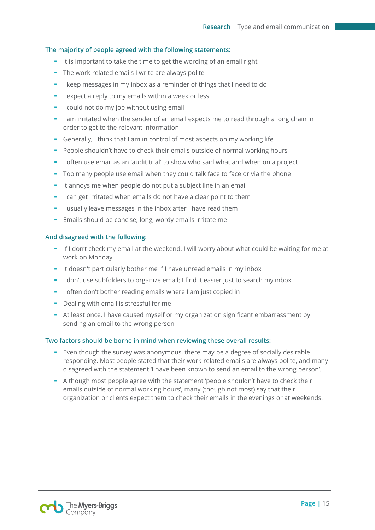#### **The majority of people agreed with the following statements:**

- It is important to take the time to get the wording of an email right
- The work-related emails I write are always polite
- I keep messages in my inbox as a reminder of things that I need to do
- I expect a reply to my emails within a week or less
- I could not do my job without using email
- I am irritated when the sender of an email expects me to read through a long chain in order to get to the relevant information
- Generally, I think that I am in control of most aspects on my working life
- People shouldn't have to check their emails outside of normal working hours
- I often use email as an 'audit trial' to show who said what and when on a project
- Too many people use email when they could talk face to face or via the phone
- It annoys me when people do not put a subject line in an email
- I can get irritated when emails do not have a clear point to them
- I usually leave messages in the inbox after I have read them
- Emails should be concise; long, wordy emails irritate me

#### **And disagreed with the following:**

- If I don't check my email at the weekend, I will worry about what could be waiting for me at work on Monday
- It doesn't particularly bother me if I have unread emails in my inbox
- I don't use subfolders to organize email; I find it easier just to search my inbox
- I often don't bother reading emails where I am just copied in
- Dealing with email is stressful for me
- At least once, I have caused myself or my organization significant embarrassment by sending an email to the wrong person

#### **Two factors should be borne in mind when reviewing these overall results:**

- Even though the survey was anonymous, there may be a degree of socially desirable responding. Most people stated that their work-related emails are always polite, and many disagreed with the statement 'I have been known to send an email to the wrong person'.
- Although most people agree with the statement 'people shouldn't have to check their emails outside of normal working hours', many (though not most) say that their organization or clients expect them to check their emails in the evenings or at weekends.

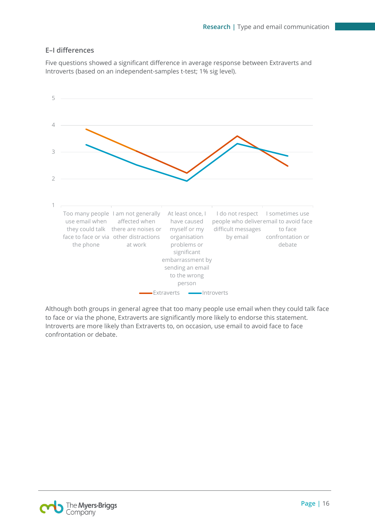#### **E–I differences**

Five questions showed a significant difference in average response between Extraverts and Introverts (based on an independent-samples t-test; 1% sig level).



Although both groups in general agree that too many people use email when they could talk face to face or via the phone, Extraverts are significantly more likely to endorse this statement. Introverts are more likely than Extraverts to, on occasion, use email to avoid face to face confrontation or debate.

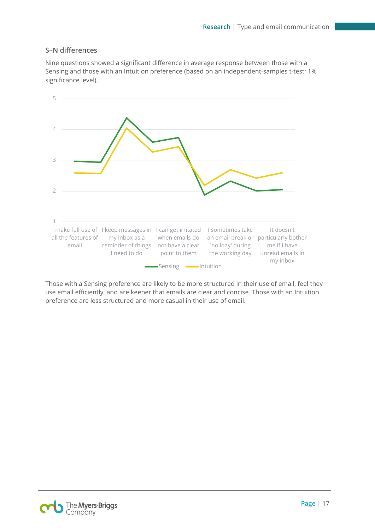#### **S–N differences**

Nine questions showed a significant difference in average response between those with a Sensing and those with an Intuition preference (based on an independent-samples t-test; 1% significance level).



Those with a Sensing preference are likely to be more structured in their use of email, feel they use email efficiently, and are keener that emails are clear and concise. Those with an Intuition preference are less structured and more casual in their use of email.

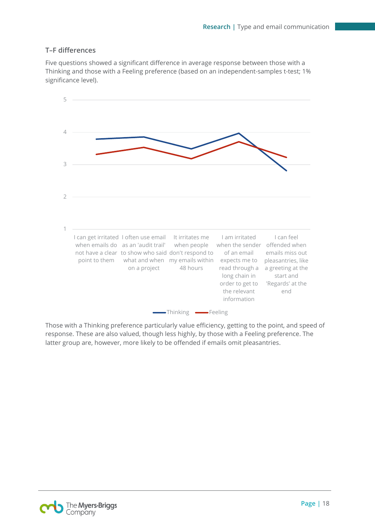#### **T–F differences**

Five questions showed a significant difference in average response between those with a Thinking and those with a Feeling preference (based on an independent-samples t-test; 1% significance level).



Those with a Thinking preference particularly value efficiency, getting to the point, and speed of response. These are also valued, though less highly, by those with a Feeling preference. The latter group are, however, more likely to be offended if emails omit pleasantries.

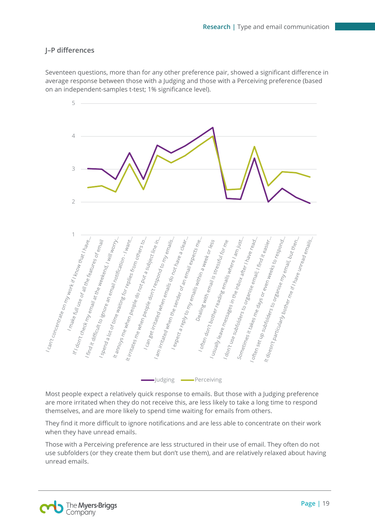### **J–P differences**

Seventeen questions, more than for any other preference pair, showed a significant difference in average response between those with a Judging and those with a Perceiving preference (based on an independent-samples t-test; 1% significance level).



Most people expect a relatively quick response to emails. But those with a Judging preference are more irritated when they do not receive this, are less likely to take a long time to respond themselves, and are more likely to spend time waiting for emails from others.

They find it more difficult to ignore notifications and are less able to concentrate on their work when they have unread emails.

Those with a Perceiving preference are less structured in their use of email. They often do not use subfolders (or they create them but don't use them), and are relatively relaxed about having unread emails.

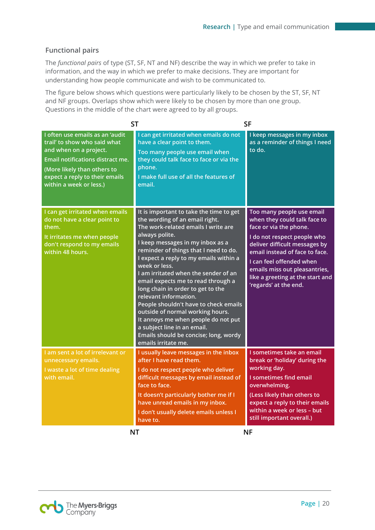#### **Functional pairs**

The *functional pairs* of type (ST, SF, NT and NF) describe the way in which we prefer to take in information, and the way in which we prefer to make decisions. They are important for understanding how people communicate and wish to be communicated to.

The figure below shows which questions were particularly likely to be chosen by the ST, SF, NT and NF groups. Overlaps show which were likely to be chosen by more than one group. Questions in the middle of the chart were agreed to by all groups.

|                                                                                                                                                                                                                                  | <b>ST</b>                                                                                                                                                                                                                                                                                                                                                                                                                                                                                                                                                                                                                                 | <b>SF</b>                                                                                                                                                                                                                                                                                                       |
|----------------------------------------------------------------------------------------------------------------------------------------------------------------------------------------------------------------------------------|-------------------------------------------------------------------------------------------------------------------------------------------------------------------------------------------------------------------------------------------------------------------------------------------------------------------------------------------------------------------------------------------------------------------------------------------------------------------------------------------------------------------------------------------------------------------------------------------------------------------------------------------|-----------------------------------------------------------------------------------------------------------------------------------------------------------------------------------------------------------------------------------------------------------------------------------------------------------------|
| I often use emails as an 'audit<br>trail' to show who said what<br>and when on a project.<br><b>Email notifications distract me.</b><br>(More likely than others to<br>expect a reply to their emails<br>within a week or less.) | I can get irritated when emails do not<br>have a clear point to them.<br>Too many people use email when<br>they could talk face to face or via the<br>phone.<br>I make full use of all the features of<br>email.                                                                                                                                                                                                                                                                                                                                                                                                                          | I keep messages in my inbox<br>as a reminder of things I need<br>to do.                                                                                                                                                                                                                                         |
| I can get irritated when emails<br>do not have a clear point to<br>them.<br>It irritates me when people<br>don't respond to my emails<br>within 48 hours.                                                                        | It is important to take the time to get<br>the wording of an email right.<br>The work-related emails I write are<br>always polite.<br>I keep messages in my inbox as a<br>reminder of things that I need to do.<br>I expect a reply to my emails within a<br>week or less.<br>I am irritated when the sender of an<br>email expects me to read through a<br>long chain in order to get to the<br>relevant information.<br>People shouldn't have to check emails<br>outside of normal working hours.<br>It annoys me when people do not put<br>a subject line in an email.<br>Emails should be concise; long, wordy<br>emails irritate me. | Too many people use email<br>when they could talk face to<br>face or via the phone.<br>I do not respect people who<br>deliver difficult messages by<br>email instead of face to face.<br>I can feel offended when<br>emails miss out pleasantries,<br>like a greeting at the start and<br>'regards' at the end. |
| I am sent a lot of irrelevant or<br>unnecessary emails.<br>I waste a lot of time dealing<br>with email.                                                                                                                          | I usually leave messages in the inbox<br>after I have read them.<br>I do not respect people who deliver<br>difficult messages by email instead of<br>face to face.<br>It doesn't particularly bother me if I<br>have unread emails in my inbox.<br>I don't usually delete emails unless I<br>have to.                                                                                                                                                                                                                                                                                                                                     | I sometimes take an email<br>break or 'holiday' during the<br>working day.<br>I sometimes find email<br>overwhelming.<br>(Less likely than others to<br>expect a reply to their emails<br>within a week or less - but<br>still important overall.)                                                              |
|                                                                                                                                                                                                                                  | <b>NT</b>                                                                                                                                                                                                                                                                                                                                                                                                                                                                                                                                                                                                                                 | <b>NF</b>                                                                                                                                                                                                                                                                                                       |

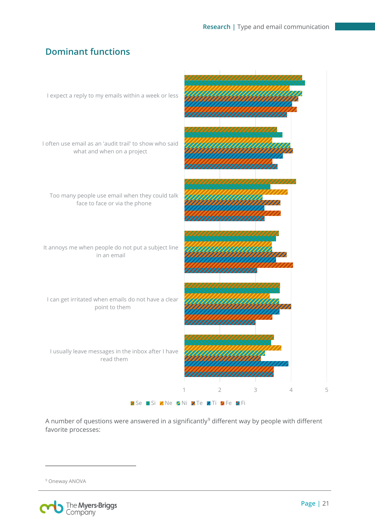# **Dominant functions**



A number of questions were answered in a significantly<sup>[9](#page-21-0)</sup> different way by people with different favorite processes:

<span id="page-21-0"></span><sup>&</sup>lt;sup>9</sup> Oneway ANOVA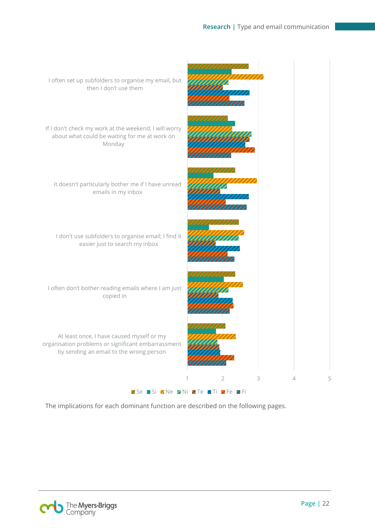

The implications for each dominant function are described on the following pages.

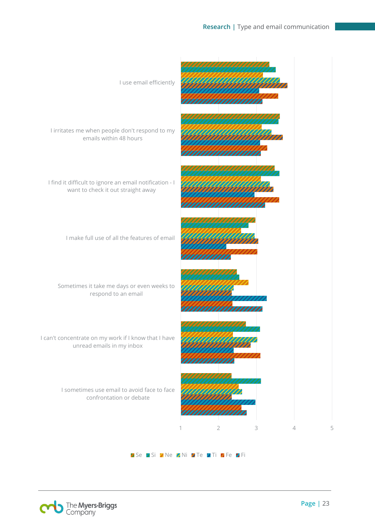

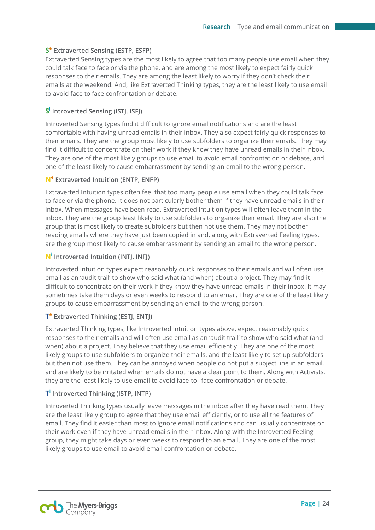#### **S<sup>e</sup> Extraverted Sensing (ESTP, ESFP)**

Extraverted Sensing types are the most likely to agree that too many people use email when they could talk face to face or via the phone, and are among the most likely to expect fairly quick responses to their emails. They are among the least likely to worry if they don't check their emails at the weekend. And, like Extraverted Thinking types, they are the least likely to use email to avoid face to face confrontation or debate.

#### **S<sup>i</sup> Introverted Sensing (ISTJ, ISFJ)**

Introverted Sensing types find it difficult to ignore email notifications and are the least comfortable with having unread emails in their inbox. They also expect fairly quick responses to their emails. They are the group most likely to use subfolders to organize their emails. They may find it difficult to concentrate on their work if they know they have unread emails in their inbox. They are one of the most likely groups to use email to avoid email confrontation or debate, and one of the least likely to cause embarrassment by sending an email to the wrong person.

#### **N<sup>e</sup> Extraverted Intuition (ENTP, ENFP)**

Extraverted Intuition types often feel that too many people use email when they could talk face to face or via the phone. It does not particularly bother them if they have unread emails in their inbox. When messages have been read, Extraverted Intuition types will often leave them in the inbox. They are the group least likely to use subfolders to organize their email. They are also the group that is most likely to create subfolders but then not use them. They may not bother reading emails where they have just been copied in and, along with Extraverted Feeling types, are the group most likely to cause embarrassment by sending an email to the wrong person.

#### **N<sup>i</sup> Introverted Intuition (INTJ, INFJ)**

Introverted Intuition types expect reasonably quick responses to their emails and will often use email as an 'audit trail' to show who said what (and when) about a project. They may find it difficult to concentrate on their work if they know they have unread emails in their inbox. It may sometimes take them days or even weeks to respond to an email. They are one of the least likely groups to cause embarrassment by sending an email to the wrong person.

#### **Te Extraverted Thinking (ESTJ, ENTJ)**

Extraverted Thinking types, like Introverted Intuition types above, expect reasonably quick responses to their emails and will often use email as an 'audit trail' to show who said what (and when) about a project. They believe that they use email efficiently. They are one of the most likely groups to use subfolders to organize their emails, and the least likely to set up subfolders but then not use them. They can be annoyed when people do not put a subject line in an email, and are likely to be irritated when emails do not have a clear point to them. Along with Activists, they are the least likely to use email to avoid face-to--face confrontation or debate.

#### **Ti Introverted Thinking (ISTP, INTP)**

Introverted Thinking types usually leave messages in the inbox after they have read them. They are the least likely group to agree that they use email efficiently, or to use all the features of email. They find it easier than most to ignore email notifications and can usually concentrate on their work even if they have unread emails in their inbox. Along with the Introverted Feeling group, they might take days or even weeks to respond to an email. They are one of the most likely groups to use email to avoid email confrontation or debate.

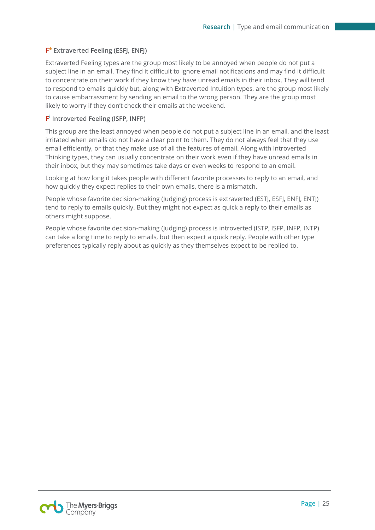#### **F<sup>e</sup> Extraverted Feeling (ESFJ, ENFJ)**

Extraverted Feeling types are the group most likely to be annoyed when people do not put a subject line in an email. They find it difficult to ignore email notifications and may find it difficult to concentrate on their work if they know they have unread emails in their inbox. They will tend to respond to emails quickly but, along with Extraverted Intuition types, are the group most likely to cause embarrassment by sending an email to the wrong person. They are the group most likely to worry if they don't check their emails at the weekend.

#### **F<sup>i</sup> Introverted Feeling (ISFP, INFP)**

This group are the least annoyed when people do not put a subject line in an email, and the least irritated when emails do not have a clear point to them. They do not always feel that they use email efficiently, or that they make use of all the features of email. Along with Introverted Thinking types, they can usually concentrate on their work even if they have unread emails in their inbox, but they may sometimes take days or even weeks to respond to an email.

Looking at how long it takes people with different favorite processes to reply to an email, and how quickly they expect replies to their own emails, there is a mismatch.

People whose favorite decision-making (Judging) process is extraverted (ESTJ, ESFJ, ENFJ, ENTJ) tend to reply to emails quickly. But they might not expect as quick a reply to their emails as others might suppose.

People whose favorite decision-making (Judging) process is introverted (ISTP, ISFP, INFP, INTP) can take a long time to reply to emails, but then expect a quick reply. People with other type preferences typically reply about as quickly as they themselves expect to be replied to.

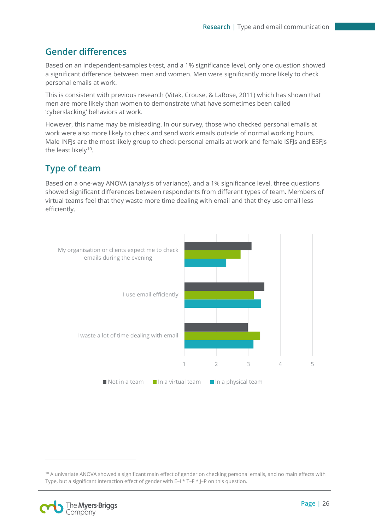# **Gender differences**

Based on an independent-samples t-test, and a 1% significance level, only one question showed a significant difference between men and women. Men were significantly more likely to check personal emails at work.

This is consistent with previous research (Vitak, Crouse, & LaRose, 2011) which has shown that men are more likely than women to demonstrate what have sometimes been called 'cyberslacking' behaviors at work.

However, this name may be misleading. In our survey, those who checked personal emails at work were also more likely to check and send work emails outside of normal working hours. Male INFJs are the most likely group to check personal emails at work and female ISFJs and ESFJs the least likely<sup>10</sup>.

# <span id="page-26-0"></span>**Type of team**

Based on a one-way ANOVA (analysis of variance), and a 1% significance level, three questions showed significant differences between respondents from different types of team. Members of virtual teams feel that they waste more time dealing with email and that they use email less efficiently.



<span id="page-26-1"></span><sup>&</sup>lt;sup>10</sup> A univariate ANOVA showed a significant main effect of gender on checking personal emails, and no main effects with Type, but a significant interaction effect of gender with E–I \* T–F \* J–P on this question.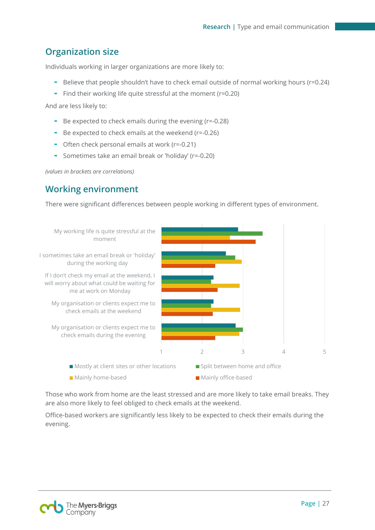# <span id="page-27-0"></span>**Organization size**

Individuals working in larger organizations are more likely to:

- Believe that people shouldn't have to check email outside of normal working hours (r=0.24)
- Find their working life quite stressful at the moment (r=0.20)

And are less likely to:

- Be expected to check emails during the evening (r=-0.28)
- Be expected to check emails at the weekend (r=-0.26)
- Often check personal emails at work (r=-0.21)
- Sometimes take an email break or 'holiday' (r=-0.20)

<span id="page-27-1"></span>*(values in brackets are correlations)*

# **Working environment**

There were significant differences between people working in different types of environment.



Those who work from home are the least stressed and are more likely to take email breaks. They are also more likely to feel obliged to check emails at the weekend.

Office-based workers are significantly less likely to be expected to check their emails during the evening.

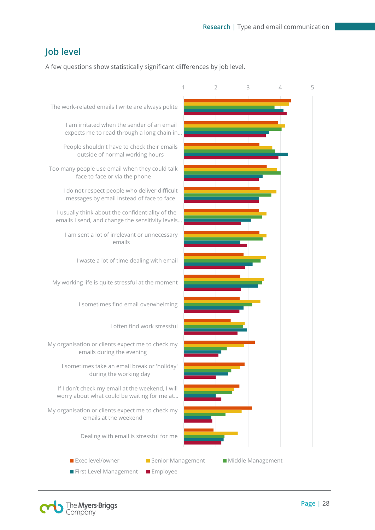# <span id="page-28-0"></span>**Job level**

A few questions show statistically significant differences by job level.



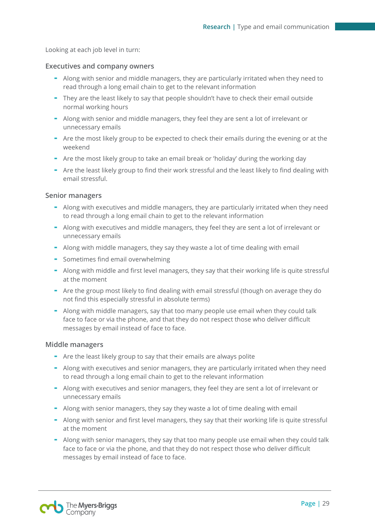Looking at each job level in turn:

#### **Executives and company owners**

- Along with senior and middle managers, they are particularly irritated when they need to read through a long email chain to get to the relevant information
- They are the least likely to say that people shouldn't have to check their email outside normal working hours
- Along with senior and middle managers, they feel they are sent a lot of irrelevant or unnecessary emails
- Are the most likely group to be expected to check their emails during the evening or at the weekend
- Are the most likely group to take an email break or 'holiday' during the working day
- Are the least likely group to find their work stressful and the least likely to find dealing with email stressful.

#### **Senior managers**

- Along with executives and middle managers, they are particularly irritated when they need to read through a long email chain to get to the relevant information
- Along with executives and middle managers, they feel they are sent a lot of irrelevant or unnecessary emails
- Along with middle managers, they say they waste a lot of time dealing with email
- Sometimes find email overwhelming
- Along with middle and first level managers, they say that their working life is quite stressful at the moment
- Are the group most likely to find dealing with email stressful (though on average they do not find this especially stressful in absolute terms)
- Along with middle managers, say that too many people use email when they could talk face to face or via the phone, and that they do not respect those who deliver difficult messages by email instead of face to face.

#### **Middle managers**

- Are the least likely group to say that their emails are always polite
- Along with executives and senior managers, they are particularly irritated when they need to read through a long email chain to get to the relevant information
- Along with executives and senior managers, they feel they are sent a lot of irrelevant or unnecessary emails
- Along with senior managers, they say they waste a lot of time dealing with email
- Along with senior and first level managers, they say that their working life is quite stressful at the moment
- Along with senior managers, they say that too many people use email when they could talk face to face or via the phone, and that they do not respect those who deliver difficult messages by email instead of face to face.

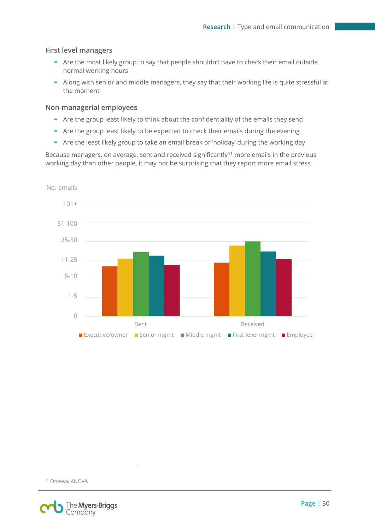#### **First level managers**

- Are the most likely group to say that people shouldn't have to check their email outside normal working hours
- Along with senior and middle managers, they say that their working life is quite stressful at the moment

#### **Non-managerial employees**

- Are the group least likely to think about the confidentiality of the emails they send
- Are the group least likely to be expected to check their emails during the evening
- Are the least likely group to take an email break or 'holiday' during the working day

Because managers, on average, sent and received significantly<sup>[11](#page-30-0)</sup> more emails in the previous working day than other people, it may not be surprising that they report more email stress.



<span id="page-30-0"></span><sup>11</sup> Oneway ANOVA

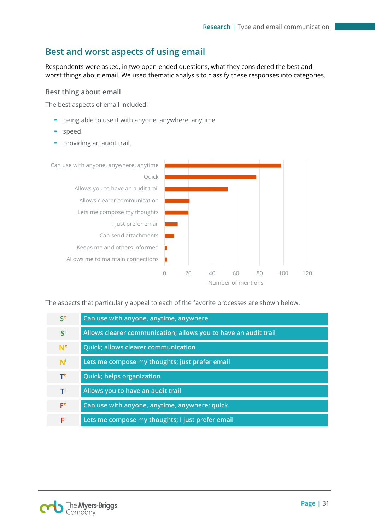# <span id="page-31-0"></span>**Best and worst aspects of using email**

Respondents were asked, in two open-ended questions, what they considered the best and worst things about email. We used thematic analysis to classify these responses into categories.

#### **Best thing about email**

The best aspects of email included:

- being able to use it with anyone, anywhere, anytime
- speed
- providing an audit trail.



The aspects that particularly appeal to each of the favorite processes are shown below.

| S <sup>e</sup> | Can use with anyone, anytime, anywhere                          |
|----------------|-----------------------------------------------------------------|
| $S^i$          | Allows clearer communication; allows you to have an audit trail |
| N <sup>e</sup> | <b>Quick</b> ; allows clearer communication                     |
| $N^i$          | Lets me compose my thoughts; just prefer email                  |
| Te             | <b>Quick; helps organization</b>                                |
| ΤЧ             | Allows you to have an audit trail                               |
| F <sup>e</sup> | Can use with anyone, anytime, anywhere; quick                   |
| FĹ             | Lets me compose my thoughts; I just prefer email                |

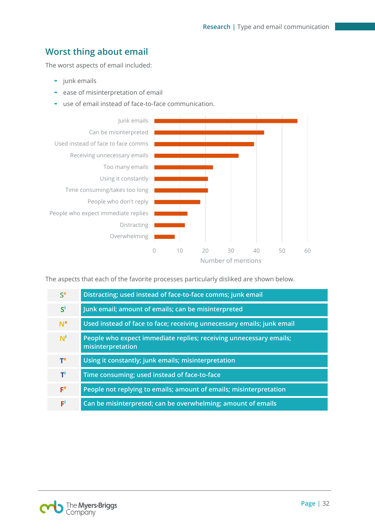# **Worst thing about email**

The worst aspects of email included:

- junk emails
- ease of misinterpretation of email
- use of email instead of face-to-face communication.



The aspects that each of the favorite processes particularly disliked are shown below.

| S <sup>e</sup> | Distracting; used instead of face-to-face comms; junk email                             |
|----------------|-----------------------------------------------------------------------------------------|
| $S^i$          | Junk email; amount of emails; can be misinterpreted                                     |
| N <sup>e</sup> | Used instead of face to face; receiving unnecessary emails; junk email                  |
| $N^i$          | People who expect immediate replies; receiving unnecessary emails;<br>misinterpretation |
| Te             | Using it constantly; junk emails; misinterpretation                                     |
| тi             | Time consuming; used instead of face-to-face                                            |
| F <sup>e</sup> | People not replying to emails; amount of emails; misinterpretation                      |
| FĹ             | Can be misinterpreted; can be overwhelming; amount of emails                            |

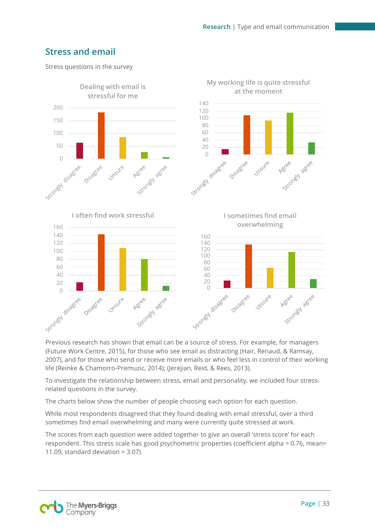# <span id="page-33-0"></span>**Stress and email**

Stress questions in the survey



Previous research has shown that email can be a source of stress. For example, for managers (Future Work Centre, 2015), for those who see email as distracting (Hair, Renaud, & Ramsay, 2007), and for those who send or receive more emails or who feel less in control of their working life (Reinke & Chamorro-Premuzic, 2014); (Jerejian, Reid, & Rees, 2013).

To investigate the relationship between stress, email and personality, we included four stressrelated questions in the survey.

The charts below show the number of people choosing each option for each question.

While most respondents disagreed that they found dealing with email stressful, over a third sometimes find email overwhelming and many were currently quite stressed at work.

The scores from each question were added together to give an overall 'stress score' for each respondent. This stress scale has good psychometric properties (coefficient alpha = 0.76, mean= 11.09, standard deviation  $= 3.07$ ).

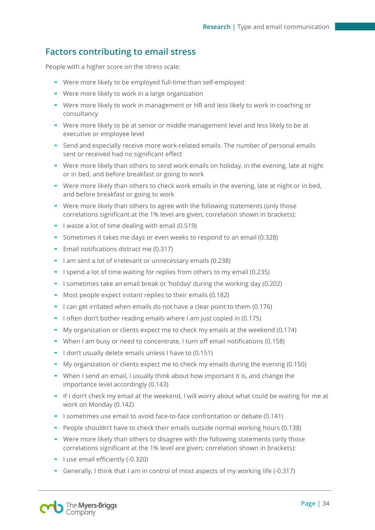# <span id="page-34-0"></span>**Factors contributing to email stress**

People with a higher score on the stress scale:

- Were more likely to be employed full-time than self-employed
- Were more likely to work in a large organization
- Were more likely to work in management or HR and less likely to work in coaching or consultancy
- Were more likely to be at senior or middle management level and less likely to be at executive or employee level
- Send and especially receive more work-related emails. The number of personal emails sent or received had no significant effect
- Were more likely than others to send work emails on holiday, in the evening, late at night or in bed, and before breakfast or going to work
- Were more likely than others to check work emails in the evening, late at night or in bed, and before breakfast or going to work
- Were more likely than others to agree with the following statements (only those correlations significant at the 1% level are given; correlation shown in brackets):
- I waste a lot of time dealing with email (0.519)
- Sometimes it takes me days or even weeks to respond to an email (0.328)
- Email notifications distract me (0.317)
- I am sent a lot of irrelevant or unnecessary emails (0.238)
- I spend a lot of time waiting for replies from others to my email (0.235)
- I sometimes take an email break or 'holiday' during the working day (0.202)
- Most people expect instant replies to their emails (0.182)
- I can get irritated when emails do not have a clear point to them (0.176)
- I often don't bother reading emails where I am just copied in (0.175)
- My organization or clients expect me to check my emails at the weekend (0.174)
- When I am busy or need to concentrate, I turn off email notifications (0.158)
- I don't usually delete emails unless I have to (0.151)
- My organization or clients expect me to check my emails during the evening (0.150)
- When I send an email, I usually think about how important it is, and change the importance level accordingly (0.143)
- If I don't check my email at the weekend, I will worry about what could be waiting for me at work on Monday (0.142)
- I sometimes use email to avoid face-to-face confrontation or debate (0.141)
- People shouldn't have to check their emails outside normal working hours (0.138)
- Were more likely than others to disagree with the following statements (only those correlations significant at the 1% level are given; correlation shown in brackets):
- I use email efficiently (-0.320)
- Generally, I think that I am in control of most aspects of my working life (-0.317)

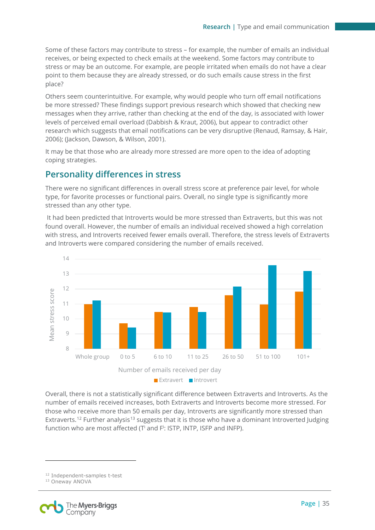Some of these factors may contribute to stress – for example, the number of emails an individual receives, or being expected to check emails at the weekend. Some factors may contribute to stress or may be an outcome. For example, are people irritated when emails do not have a clear point to them because they are already stressed, or do such emails cause stress in the first place?

Others seem counterintuitive. For example, why would people who turn off email notifications be more stressed? These findings support previous research which showed that checking new messages when they arrive, rather than checking at the end of the day, is associated with lower levels of perceived email overload (Dabbish & Kraut, 2006), but appear to contradict other research which suggests that email notifications can be very disruptive (Renaud, Ramsay, & Hair, 2006); (Jackson, Dawson, & Wilson, 2001).

It may be that those who are already more stressed are more open to the idea of adopting coping strategies.

## **Personality differences in stress**

There were no significant differences in overall stress score at preference pair level, for whole type, for favorite processes or functional pairs. Overall, no single type is significantly more stressed than any other type.

It had been predicted that Introverts would be more stressed than Extraverts, but this was not found overall. However, the number of emails an individual received showed a high correlation with stress, and Introverts received fewer emails overall. Therefore, the stress levels of Extraverts and Introverts were compared considering the number of emails received.



Overall, there is not a statistically significant difference between Extraverts and Introverts. As the number of emails received increases, both Extraverts and Introverts become more stressed. For those who receive more than 50 emails per day, Introverts are significantly more stressed than Extraverts.<sup>[12](#page-35-0)</sup> Further analysis<sup>[13](#page-35-1)</sup> suggests that it is those who have a dominant Introverted Judging function who are most affected (T<sup>i</sup> and F<sup>i</sup>: ISTP, INTP, ISFP and INFP).

<span id="page-35-1"></span><span id="page-35-0"></span><sup>13</sup> Oneway ANOVA



<sup>12</sup> Independent-samples t-test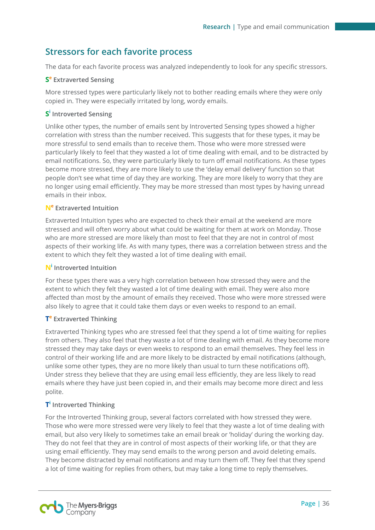# <span id="page-36-0"></span>**Stressors for each favorite process**

The data for each favorite process was analyzed independently to look for any specific stressors.

#### **S<sup>e</sup> Extraverted Sensing**

More stressed types were particularly likely not to bother reading emails where they were only copied in. They were especially irritated by long, wordy emails.

#### **S<sup>i</sup> Introverted Sensing**

Unlike other types, the number of emails sent by Introverted Sensing types showed a higher correlation with stress than the number received. This suggests that for these types, it may be more stressful to send emails than to receive them. Those who were more stressed were particularly likely to feel that they wasted a lot of time dealing with email, and to be distracted by email notifications. So, they were particularly likely to turn off email notifications. As these types become more stressed, they are more likely to use the 'delay email delivery' function so that people don't see what time of day they are working. They are more likely to worry that they are no longer using email efficiently. They may be more stressed than most types by having unread emails in their inbox.

#### **N<sup>e</sup> Extraverted Intuition**

Extraverted Intuition types who are expected to check their email at the weekend are more stressed and will often worry about what could be waiting for them at work on Monday. Those who are more stressed are more likely than most to feel that they are not in control of most aspects of their working life. As with many types, there was a correlation between stress and the extent to which they felt they wasted a lot of time dealing with email.

#### **N<sup>i</sup> Introverted Intuition**

For these types there was a very high correlation between how stressed they were and the extent to which they felt they wasted a lot of time dealing with email. They were also more affected than most by the amount of emails they received. Those who were more stressed were also likely to agree that it could take them days or even weeks to respond to an email.

#### **Te Extraverted Thinking**

Extraverted Thinking types who are stressed feel that they spend a lot of time waiting for replies from others. They also feel that they waste a lot of time dealing with email. As they become more stressed they may take days or even weeks to respond to an email themselves. They feel less in control of their working life and are more likely to be distracted by email notifications (although, unlike some other types, they are no more likely than usual to turn these notifications off). Under stress they believe that they are using email less efficiently, they are less likely to read emails where they have just been copied in, and their emails may become more direct and less polite.

#### **Ti Introverted Thinking**

For the Introverted Thinking group, several factors correlated with how stressed they were. Those who were more stressed were very likely to feel that they waste a lot of time dealing with email, but also very likely to sometimes take an email break or 'holiday' during the working day. They do not feel that they are in control of most aspects of their working life, or that they are using email efficiently. They may send emails to the wrong person and avoid deleting emails. They become distracted by email notifications and may turn them off. They feel that they spend a lot of time waiting for replies from others, but may take a long time to reply themselves.

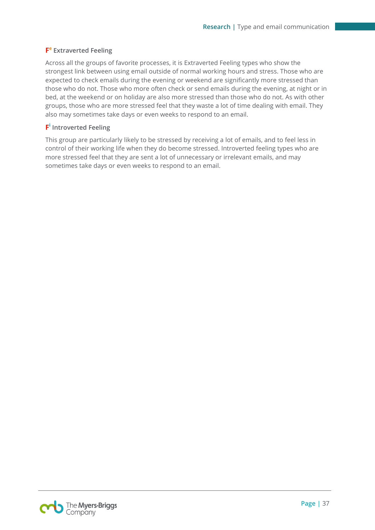#### **F<sup>e</sup> Extraverted Feeling**

Across all the groups of favorite processes, it is Extraverted Feeling types who show the strongest link between using email outside of normal working hours and stress. Those who are expected to check emails during the evening or weekend are significantly more stressed than those who do not. Those who more often check or send emails during the evening, at night or in bed, at the weekend or on holiday are also more stressed than those who do not. As with other groups, those who are more stressed feel that they waste a lot of time dealing with email. They also may sometimes take days or even weeks to respond to an email.

#### **F<sup>i</sup> Introverted Feeling**

This group are particularly likely to be stressed by receiving a lot of emails, and to feel less in control of their working life when they do become stressed. Introverted feeling types who are more stressed feel that they are sent a lot of unnecessary or irrelevant emails, and may sometimes take days or even weeks to respond to an email.

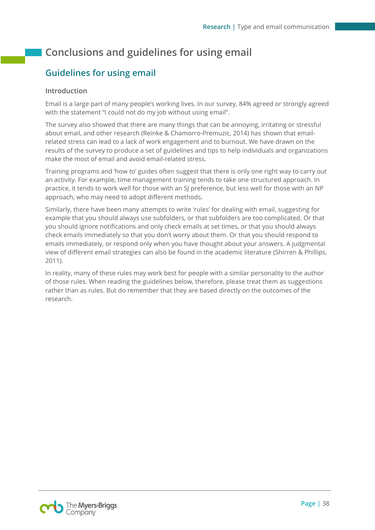# <span id="page-38-0"></span>**Conclusions and guidelines for using email**

# <span id="page-38-1"></span>**Guidelines for using email**

#### **Introduction**

Email is a large part of many people's working lives. In our survey, 84% agreed or strongly agreed with the statement "I could not do my job without using email".

The survey also showed that there are many things that can be annoying, irritating or stressful about email, and other research (Reinke & Chamorro-Premuzic, 2014) has shown that emailrelated stress can lead to a lack of work engagement and to burnout. We have drawn on the results of the survey to produce a set of guidelines and tips to help individuals and organizations make the most of email and avoid email-related stress.

Training programs and 'how to' guides often suggest that there is only one right way to carry out an activity. For example, time management training tends to take one structured approach. In practice, it tends to work well for those with an SJ preference, but less well for those with an NP approach, who may need to adopt different methods.

Similarly, there have been many attempts to write 'rules' for dealing with email, suggesting for example that you should always use subfolders, or that subfolders are too complicated. Or that you should ignore notifications and only check emails at set times, or that you should always check emails immediately so that you don't worry about them. Or that you should respond to emails immediately, or respond only when you have thought about your answers. A judgmental view of different email strategies can also be found in the academic literature (Shirren & Phillips, 2011).

In reality, many of these rules may work best for people with a similar personality to the author of those rules. When reading the guidelines below, therefore, please treat them as suggestions rather than as rules. But do remember that they are based directly on the outcomes of the research.

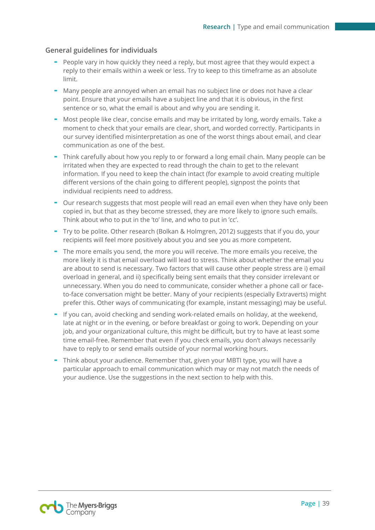#### **General guidelines for individuals**

- People vary in how quickly they need a reply, but most agree that they would expect a reply to their emails within a week or less. Try to keep to this timeframe as an absolute limit.
- Many people are annoyed when an email has no subject line or does not have a clear point. Ensure that your emails have a subject line and that it is obvious, in the first sentence or so, what the email is about and why you are sending it.
- Most people like clear, concise emails and may be irritated by long, wordy emails. Take a moment to check that your emails are clear, short, and worded correctly. Participants in our survey identified misinterpretation as one of the worst things about email, and clear communication as one of the best.
- Think carefully about how you reply to or forward a long email chain. Many people can be irritated when they are expected to read through the chain to get to the relevant information. If you need to keep the chain intact (for example to avoid creating multiple different versions of the chain going to different people), signpost the points that individual recipients need to address.
- Our research suggests that most people will read an email even when they have only been copied in, but that as they become stressed, they are more likely to ignore such emails. Think about who to put in the 'to' line, and who to put in 'cc'.
- Try to be polite. Other research (Bolkan & Holmgren, 2012) suggests that if you do, your recipients will feel more positively about you and see you as more competent.
- The more emails you send, the more you will receive. The more emails you receive, the more likely it is that email overload will lead to stress. Think about whether the email you are about to send is necessary. Two factors that will cause other people stress are i) email overload in general, and ii) specifically being sent emails that they consider irrelevant or unnecessary. When you do need to communicate, consider whether a phone call or faceto-face conversation might be better. Many of your recipients (especially Extraverts) might prefer this. Other ways of communicating (for example, instant messaging) may be useful.
- If you can, avoid checking and sending work-related emails on holiday, at the weekend, late at night or in the evening, or before breakfast or going to work. Depending on your job, and your organizational culture, this might be difficult, but try to have at least some time email-free. Remember that even if you check emails, you don't always necessarily have to reply to or send emails outside of your normal working hours.
- Think about your audience. Remember that, given your MBTI type, you will have a particular approach to email communication which may or may not match the needs of your audience. Use the suggestions in the next section to help with this.

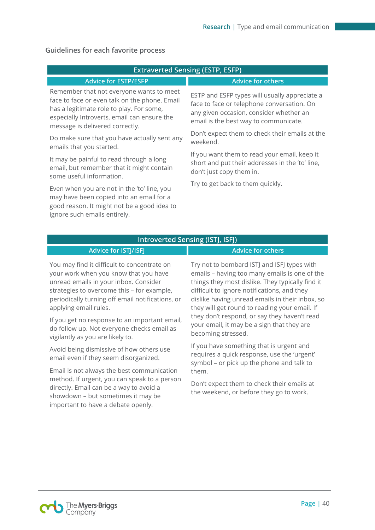|                                                                                                                                                                                                                         | <b>Extraverted Sensing (ESTP, ESFP)</b>                                                                                                                                         |
|-------------------------------------------------------------------------------------------------------------------------------------------------------------------------------------------------------------------------|---------------------------------------------------------------------------------------------------------------------------------------------------------------------------------|
| <b>Advice for ESTP/ESFP</b>                                                                                                                                                                                             | <b>Advice for others</b>                                                                                                                                                        |
| Remember that not everyone wants to meet<br>face to face or even talk on the phone. Email<br>has a legitimate role to play. For some,<br>especially Introverts, email can ensure the<br>message is delivered correctly. | ESTP and ESFP types will usually appreciate a<br>face to face or telephone conversation. On<br>any given occasion, consider whether an<br>email is the best way to communicate. |
| Do make sure that you have actually sent any<br>emails that you started.                                                                                                                                                | Don't expect them to check their emails at the<br>weekend.                                                                                                                      |
| It may be painful to read through a long<br>email, but remember that it might contain<br>some useful information.                                                                                                       | If you want them to read your email, keep it<br>short and put their addresses in the 'to' line,<br>don't just copy them in.                                                     |
| Even when you are not in the 'to' line, you<br>may have been copied into an email for a<br>good reason. It might not be a good idea to<br>ignore such emails entirely.                                                  | Try to get back to them quickly.                                                                                                                                                |

#### **Guidelines for each favorite process**

#### **Introverted Sensing (ISTJ, ISFJ)**

### **Advice for ISTJ/ISFJ Advice for others**

You may find it difficult to concentrate on your work when you know that you have unread emails in your inbox. Consider strategies to overcome this – for example, periodically turning off email notifications, or applying email rules.

If you get no response to an important email, do follow up. Not everyone checks email as vigilantly as you are likely to.

Avoid being dismissive of how others use email even if they seem disorganized.

Email is not always the best communication method. If urgent, you can speak to a person directly. Email can be a way to avoid a showdown – but sometimes it may be important to have a debate openly.

Try not to bombard ISTJ and ISFJ types with emails – having too many emails is one of the things they most dislike. They typically find it difficult to ignore notifications, and they dislike having unread emails in their inbox, so they will get round to reading your email. If they don't respond, or say they haven't read your email, it may be a sign that they are becoming stressed.

If you have something that is urgent and requires a quick response, use the 'urgent' symbol – or pick up the phone and talk to them.

Don't expect them to check their emails at the weekend, or before they go to work.

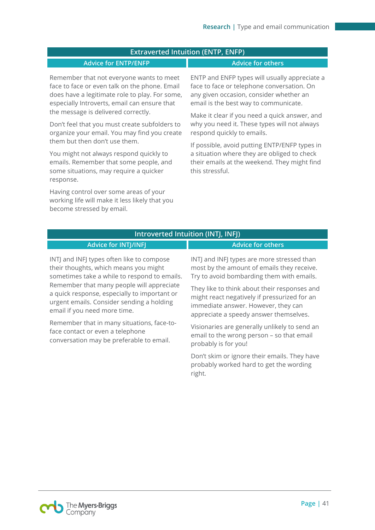#### **Extraverted Intuition (ENTP, ENFP)**

#### **Advice for ENTP/ENFP Advice for others**

Remember that not everyone wants to meet face to face or even talk on the phone. Email does have a legitimate role to play. For some, especially Introverts, email can ensure that the message is delivered correctly.

Don't feel that you must create subfolders to organize your email. You may find you create them but then don't use them.

You might not always respond quickly to emails. Remember that some people, and some situations, may require a quicker response.

Having control over some areas of your working life will make it less likely that you become stressed by email.

ENTP and ENFP types will usually appreciate a face to face or telephone conversation. On any given occasion, consider whether an email is the best way to communicate.

Make it clear if you need a quick answer, and why you need it. These types will not always respond quickly to emails.

If possible, avoid putting ENTP/ENFP types in a situation where they are obliged to check their emails at the weekend. They might find this stressful.

| Introverted Intuition (INTJ, INFJ)                                                                                                                                     |                                                                                                                                                                               |
|------------------------------------------------------------------------------------------------------------------------------------------------------------------------|-------------------------------------------------------------------------------------------------------------------------------------------------------------------------------|
| <b>Advice for INTJ/INFJ</b>                                                                                                                                            | <b>Advice for others</b>                                                                                                                                                      |
| INTJ and INFJ types often like to compose<br>their thoughts, which means you might<br>sometimes take a while to respond to emails.                                     | INTJ and INFJ types are more stressed than<br>most by the amount of emails they receive.<br>Try to avoid bombarding them with emails.                                         |
| Remember that many people will appreciate<br>a quick response, especially to important or<br>urgent emails. Consider sending a holding<br>email if you need more time. | They like to think about their responses and<br>might react negatively if pressurized for an<br>immediate answer. However, they can<br>appreciate a speedy answer themselves. |
| Remember that in many situations, face-to-<br>face contact or even a telephone<br>conversation may be preferable to email.                                             | Visionaries are generally unlikely to send an<br>email to the wrong person - so that email<br>probably is for you!                                                            |
|                                                                                                                                                                        | Don't skim or ignore their emails. They have<br>probably worked hard to get the wording<br>right.                                                                             |
|                                                                                                                                                                        |                                                                                                                                                                               |

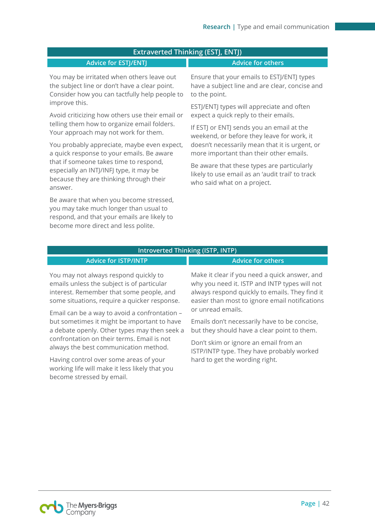#### **Extraverted Thinking (ESTJ, ENTJ)**

#### **Advice for ESTJ/ENTJ Advice for others**

You may be irritated when others leave out the subject line or don't have a clear point. Consider how you can tactfully help people to improve this.

Avoid criticizing how others use their email or telling them how to organize email folders. Your approach may not work for them.

You probably appreciate, maybe even expect, a quick response to your emails. Be aware that if someone takes time to respond, especially an INTJ/INFJ type, it may be because they are thinking through their answer.

Be aware that when you become stressed, you may take much longer than usual to respond, and that your emails are likely to become more direct and less polite.

Ensure that your emails to ESTJ/ENTJ types have a subject line and are clear, concise and to the point.

ESTJ/ENTJ types will appreciate and often expect a quick reply to their emails.

If ESTJ or ENTJ sends you an email at the weekend, or before they leave for work, it doesn't necessarily mean that it is urgent, or more important than their other emails.

Be aware that these types are particularly likely to use email as an 'audit trail' to track who said what on a project.

#### **Introverted Thinking (ISTP, INTP)**

#### **Advice for ISTP/INTP Advice for others**

You may not always respond quickly to emails unless the subject is of particular interest. Remember that some people, and some situations, require a quicker response.

Email can be a way to avoid a confrontation – but sometimes it might be important to have a debate openly. Other types may then seek a confrontation on their terms. Email is not always the best communication method.

Having control over some areas of your working life will make it less likely that you become stressed by email.

Make it clear if you need a quick answer, and why you need it. ISTP and INTP types will not always respond quickly to emails. They find it easier than most to ignore email notifications or unread emails.

Emails don't necessarily have to be concise, but they should have a clear point to them.

Don't skim or ignore an email from an ISTP/INTP type. They have probably worked hard to get the wording right.

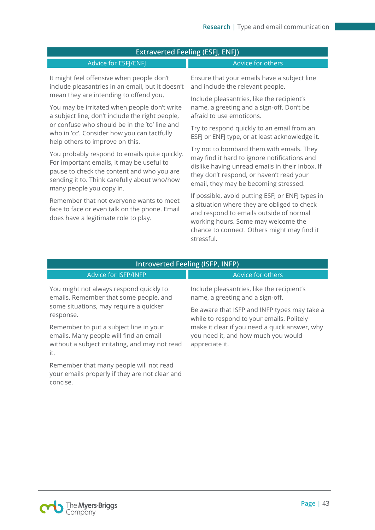| <b>Extraverted Feeling (ESFJ, ENFJ)</b>                                                                                                                                                                              |                                                                                                                                                                                                                                                |
|----------------------------------------------------------------------------------------------------------------------------------------------------------------------------------------------------------------------|------------------------------------------------------------------------------------------------------------------------------------------------------------------------------------------------------------------------------------------------|
| Advice for ESFJ/ENFJ                                                                                                                                                                                                 | Advice for others                                                                                                                                                                                                                              |
| It might feel offensive when people don't<br>include pleasantries in an email, but it doesn't<br>mean they are intending to offend you.                                                                              | Ensure that your emails have a subject line<br>and include the relevant people.<br>Include pleasantries, like the recipient's                                                                                                                  |
| You may be irritated when people don't write<br>a subject line, don't include the right people,                                                                                                                      | name, a greeting and a sign-off. Don't be<br>afraid to use emoticons.                                                                                                                                                                          |
| or confuse who should be in the 'to' line and<br>who in 'cc'. Consider how you can tactfully<br>help others to improve on this.                                                                                      | Try to respond quickly to an email from an<br>ESFJ or ENFJ type, or at least acknowledge it.                                                                                                                                                   |
| You probably respond to emails quite quickly.<br>For important emails, it may be useful to<br>pause to check the content and who you are<br>sending it to. Think carefully about who/how<br>many people you copy in. | Try not to bombard them with emails. They<br>may find it hard to ignore notifications and<br>dislike having unread emails in their inbox. If<br>they don't respond, or haven't read your<br>email, they may be becoming stressed.              |
| Remember that not everyone wants to meet<br>face to face or even talk on the phone. Email<br>does have a legitimate role to play.                                                                                    | If possible, avoid putting ESFJ or ENFJ types in<br>a situation where they are obliged to check<br>and respond to emails outside of normal<br>working hours. Some may welcome the<br>chance to connect. Others might may find it<br>stressful. |

| Introverted Feeling (ISFP, INFP) |  |
|----------------------------------|--|
|----------------------------------|--|

| Advice for ISFP/INFP                                                                                                                      | Advice for others                                                                                      |
|-------------------------------------------------------------------------------------------------------------------------------------------|--------------------------------------------------------------------------------------------------------|
| You might not always respond quickly to<br>emails. Remember that some people, and                                                         | Include pleasantries, like the recipient's<br>name, a greeting and a sign-off.                         |
| some situations, may require a quicker<br>response.                                                                                       | Be aware that ISFP and INFP types may take a<br>while to respond to your emails. Politely              |
| Remember to put a subject line in your<br>emails. Many people will find an email<br>without a subject irritating, and may not read<br>it. | make it clear if you need a quick answer, why<br>you need it, and how much you would<br>appreciate it. |
| Remember that many people will not read<br>your emails properly if they are not clear and<br>concise.                                     |                                                                                                        |

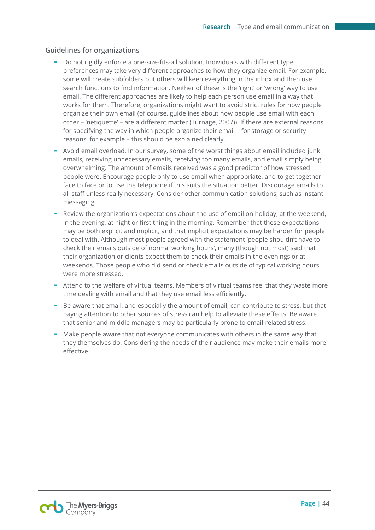#### **Guidelines for organizations**

- Do not rigidly enforce a one-size-fits-all solution. Individuals with different type preferences may take very different approaches to how they organize email. For example, some will create subfolders but others will keep everything in the inbox and then use search functions to find information. Neither of these is the 'right' or 'wrong' way to use email. The different approaches are likely to help each person use email in a way that works for them. Therefore, organizations might want to avoid strict rules for how people organize their own email (of course, guidelines about how people use email with each other – 'netiquette' – are a different matter (Turnage, 2007)). If there are external reasons for specifying the way in which people organize their email – for storage or security reasons, for example – this should be explained clearly.
- Avoid email overload. In our survey, some of the worst things about email included junk emails, receiving unnecessary emails, receiving too many emails, and email simply being overwhelming. The amount of emails received was a good predictor of how stressed people were. Encourage people only to use email when appropriate, and to get together face to face or to use the telephone if this suits the situation better. Discourage emails to all staff unless really necessary. Consider other communication solutions, such as instant messaging.
- Review the organization's expectations about the use of email on holiday, at the weekend, in the evening, at night or first thing in the morning. Remember that these expectations may be both explicit and implicit, and that implicit expectations may be harder for people to deal with. Although most people agreed with the statement 'people shouldn't have to check their emails outside of normal working hours', many (though not most) said that their organization or clients expect them to check their emails in the evenings or at weekends. Those people who did send or check emails outside of typical working hours were more stressed.
- Attend to the welfare of virtual teams. Members of virtual teams feel that they waste more time dealing with email and that they use email less efficiently.
- Be aware that email, and especially the amount of email, can contribute to stress, but that paying attention to other sources of stress can help to alleviate these effects. Be aware that senior and middle managers may be particularly prone to email-related stress.
- Make people aware that not everyone communicates with others in the same way that they themselves do. Considering the needs of their audience may make their emails more effective.

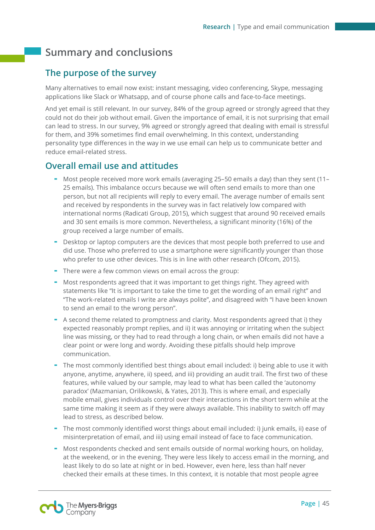# <span id="page-45-0"></span>**Summary and conclusions**

# <span id="page-45-1"></span>**The purpose of the survey**

Many alternatives to email now exist: instant messaging, video conferencing, Skype, messaging applications like Slack or Whatsapp, and of course phone calls and face-to-face meetings.

And yet email is still relevant. In our survey, 84% of the group agreed or strongly agreed that they could not do their job without email. Given the importance of email, it is not surprising that email can lead to stress. In our survey, 9% agreed or strongly agreed that dealing with email is stressful for them, and 39% sometimes find email overwhelming. In this context, understanding personality type differences in the way in we use email can help us to communicate better and reduce email-related stress.

# **Overall email use and attitudes**

- Most people received more work emails (averaging 25–50 emails a day) than they sent (11– 25 emails). This imbalance occurs because we will often send emails to more than one person, but not all recipients will reply to every email. The average number of emails sent and received by respondents in the survey was in fact relatively low compared with international norms (Radicati Group, 2015), which suggest that around 90 received emails and 30 sent emails is more common. Nevertheless, a significant minority (16%) of the group received a large number of emails.
- Desktop or laptop computers are the devices that most people both preferred to use and did use. Those who preferred to use a smartphone were significantly younger than those who prefer to use other devices. This is in line with other research (Ofcom, 2015).
- There were a few common views on email across the group:
- Most respondents agreed that it was important to get things right. They agreed with statements like "It is important to take the time to get the wording of an email right" and "The work-related emails I write are always polite", and disagreed with "I have been known to send an email to the wrong person".
- A second theme related to promptness and clarity. Most respondents agreed that i) they expected reasonably prompt replies, and ii) it was annoying or irritating when the subject line was missing, or they had to read through a long chain, or when emails did not have a clear point or were long and wordy. Avoiding these pitfalls should help improve communication.
- The most commonly identified best things about email included: i) being able to use it with anyone, anytime, anywhere, ii) speed, and iii) providing an audit trail. The first two of these features, while valued by our sample, may lead to what has been called the 'autonomy paradox' (Mazmanian, Orilikowski, & Yates, 2013). This is where email, and especially mobile email, gives individuals control over their interactions in the short term while at the same time making it seem as if they were always available. This inability to switch off may lead to stress, as described below.
- The most commonly identified worst things about email included: i) junk emails, ii) ease of misinterpretation of email, and iii) using email instead of face to face communication.
- Most respondents checked and sent emails outside of normal working hours, on holiday, at the weekend, or in the evening. They were less likely to access email in the morning, and least likely to do so late at night or in bed. However, even here, less than half never checked their emails at these times. In this context, it is notable that most people agree

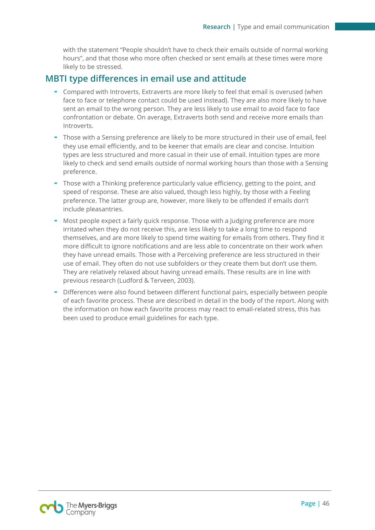with the statement "People shouldn't have to check their emails outside of normal working hours", and that those who more often checked or sent emails at these times were more likely to be stressed.

## **MBTI type differences in email use and attitude**

- Compared with Introverts, Extraverts are more likely to feel that email is overused (when face to face or telephone contact could be used instead). They are also more likely to have sent an email to the wrong person. They are less likely to use email to avoid face to face confrontation or debate. On average, Extraverts both send and receive more emails than Introverts.
- Those with a Sensing preference are likely to be more structured in their use of email, feel they use email efficiently, and to be keener that emails are clear and concise. Intuition types are less structured and more casual in their use of email. Intuition types are more likely to check and send emails outside of normal working hours than those with a Sensing preference.
- Those with a Thinking preference particularly value efficiency, getting to the point, and speed of response. These are also valued, though less highly, by those with a Feeling preference. The latter group are, however, more likely to be offended if emails don't include pleasantries.
- Most people expect a fairly quick response. Those with a Judging preference are more irritated when they do not receive this, are less likely to take a long time to respond themselves, and are more likely to spend time waiting for emails from others. They find it more difficult to ignore notifications and are less able to concentrate on their work when they have unread emails. Those with a Perceiving preference are less structured in their use of email. They often do not use subfolders or they create them but don't use them. They are relatively relaxed about having unread emails. These results are in line with previous research (Ludford & Terveen, 2003).
- Differences were also found between different functional pairs, especially between people of each favorite process. These are described in detail in the body of the report. Along with the information on how each favorite process may react to email-related stress, this has been used to produce email guidelines for each type.

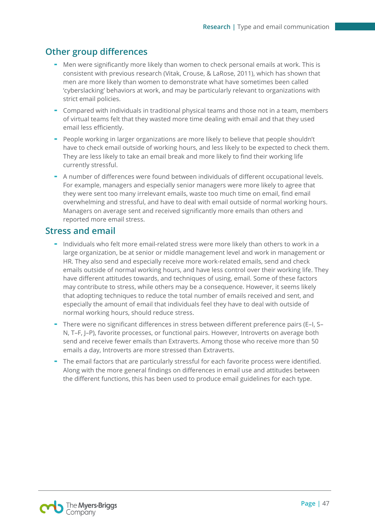# **Other group differences**

- Men were significantly more likely than women to check personal emails at work. This is consistent with previous research (Vitak, Crouse, & LaRose, 2011), which has shown that men are more likely than women to demonstrate what have sometimes been called 'cyberslacking' behaviors at work, and may be particularly relevant to organizations with strict email policies.
- Compared with individuals in traditional physical teams and those not in a team, members of virtual teams felt that they wasted more time dealing with email and that they used email less efficiently.
- People working in larger organizations are more likely to believe that people shouldn't have to check email outside of working hours, and less likely to be expected to check them. They are less likely to take an email break and more likely to find their working life currently stressful.
- A number of differences were found between individuals of different occupational levels. For example, managers and especially senior managers were more likely to agree that they were sent too many irrelevant emails, waste too much time on email, find email overwhelming and stressful, and have to deal with email outside of normal working hours. Managers on average sent and received significantly more emails than others and reported more email stress.

### **Stress and email**

- Individuals who felt more email-related stress were more likely than others to work in a large organization, be at senior or middle management level and work in management or HR. They also send and especially receive more work-related emails, send and check emails outside of normal working hours, and have less control over their working life. They have different attitudes towards, and techniques of using, email. Some of these factors may contribute to stress, while others may be a consequence. However, it seems likely that adopting techniques to reduce the total number of emails received and sent, and especially the amount of email that individuals feel they have to deal with outside of normal working hours, should reduce stress.
- There were no significant differences in stress between different preference pairs (E–I, S– N, T–F, J–P), favorite processes, or functional pairs. However, Introverts on average both send and receive fewer emails than Extraverts. Among those who receive more than 50 emails a day, Introverts are more stressed than Extraverts.
- The email factors that are particularly stressful for each favorite process were identified. Along with the more general findings on differences in email use and attitudes between the different functions, this has been used to produce email guidelines for each type.

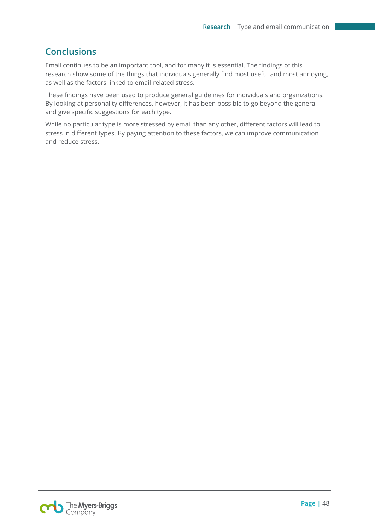# **Conclusions**

Email continues to be an important tool, and for many it is essential. The findings of this research show some of the things that individuals generally find most useful and most annoying, as well as the factors linked to email-related stress.

These findings have been used to produce general guidelines for individuals and organizations. By looking at personality differences, however, it has been possible to go beyond the general and give specific suggestions for each type.

While no particular type is more stressed by email than any other, different factors will lead to stress in different types. By paying attention to these factors, we can improve communication and reduce stress.

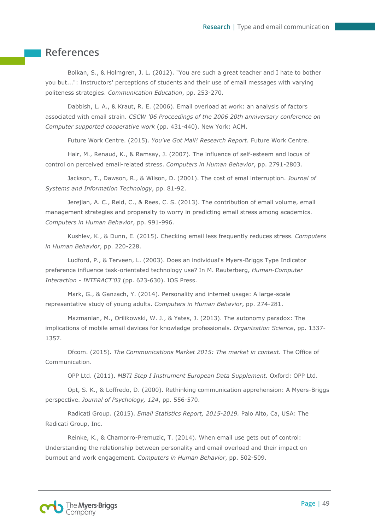# <span id="page-49-0"></span>**References**

Bolkan, S., & Holmgren, J. L. (2012). "You are such a great teacher and I hate to bother you but...": Instructors' perceptions of students and their use of email messages with varying politeness strategies. *Communication Education*, pp. 253-270.

Dabbish, L. A., & Kraut, R. E. (2006). Email overload at work: an analysis of factors associated with email strain. *CSCW '06 Proceedings of the 2006 20th anniversary conference on Computer supported cooperative work* (pp. 431-440). New York: ACM.

Future Work Centre. (2015). *You've Got Mail! Research Report.* Future Work Centre.

Hair, M., Renaud, K., & Ramsay, J. (2007). The influence of self-esteem and locus of control on perceived email-related stress. *Computers in Human Behavior*, pp. 2791-2803.

Jackson, T., Dawson, R., & Wilson, D. (2001). The cost of emal interruption. *Journal of Systems and Information Technology*, pp. 81-92.

Jerejian, A. C., Reid, C., & Rees, C. S. (2013). The contribution of email volume, email management strategies and propensity to worry in predicting email stress among academics. *Computers in Human Behavior*, pp. 991-996.

Kushlev, K., & Dunn, E. (2015). Checking email less frequently reduces stress. *Computers in Human Behavior*, pp. 220-228.

Ludford, P., & Terveen, L. (2003). Does an individual's Myers-Briggs Type Indicator preference influence task-orientated technology use? In M. Rauterberg, *Human-Computer Interaction - INTERACT'03* (pp. 623-630). IOS Press.

Mark, G., & Ganzach, Y. (2014). Personality and internet usage: A large-scale representative study of young adults. *Computers in Human Behavior*, pp. 274-281.

Mazmanian, M., Orilikowski, W. J., & Yates, J. (2013). The autonomy paradox: The implications of mobile email devices for knowledge professionals. *Organization Science*, pp. 1337- 1357.

Ofcom. (2015). *The Communications Market 2015: The market in context.* The Office of Communication.

OPP Ltd. (2011). *MBTI Step I Instrument European Data Supplement.* Oxford: OPP Ltd.

Opt, S. K., & Loffredo, D. (2000). Rethinking communication apprehension: A Myers-Briggs perspective. *Journal of Psychology, 124*, pp. 556-570.

Radicati Group. (2015). *Email Statistics Report, 2015-2019.* Palo Alto, Ca, USA: The Radicati Group, Inc.

Reinke, K., & Chamorro-Premuzic, T. (2014). When email use gets out of control: Understanding the relationship between personality and email overload and their impact on burnout and work engagement. *Computers in Human Behavior*, pp. 502-509.

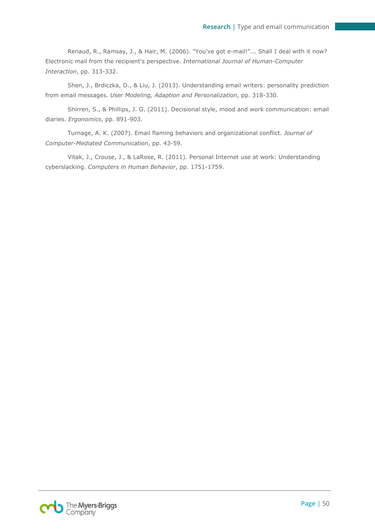Renaud, R., Ramsay, J., & Hair, M. (2006). "You've got e-mail!"... Shall I deal with it now? Electronic mail from the recipient's perspective. *International Journal of Human-Computer Interaction*, pp. 313-332.

Shen, J., Brdiczka, O., & Liu, J. (2013). Understanding email writers: personality prediction from email messages. *User Modeling, Adaption and Personalization*, pp. 318-330.

Shirren, S., & Phillips, J. G. (2011). Decisional style, mood and work communication: email diaries. *Ergonomics*, pp. 891-903.

Turnage, A. K. (2007). Email flaming behaviors and organizational conflict. *Journal of Computer-Mediated Communication*, pp. 43-59.

Vitak, J., Crouse, J., & LaRose, R. (2011). Personal Internet use at work: Understanding cyberslacking. *Computers in Human Behavior*, pp. 1751-1759.

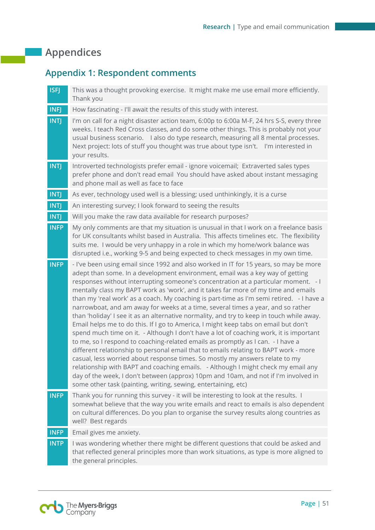# <span id="page-51-0"></span>**Appendices**

# <span id="page-51-1"></span>**Appendix 1: Respondent comments**

| <b>INFJ</b><br>How fascinating - I'll await the results of this study with interest.<br><b>INTJ</b><br>I'm on call for a night disaster action team, 6:00p to 6:00a M-F, 24 hrs S-S, every three<br>weeks. I teach Red Cross classes, and do some other things. This is probably not your<br>usual business scenario. I also do type research, measuring all 8 mental processes.<br>Next project: lots of stuff you thought was true about type isn't. I'm interested in<br>your results.<br><b>INTJ</b><br>Introverted technologists prefer email - ignore voicemail; Extraverted sales types<br>prefer phone and don't read email You should have asked about instant messaging<br>and phone mail as well as face to face<br><b>INTJ</b><br>As ever, technology used well is a blessing; used unthinkingly, it is a curse<br><b>INTJ</b><br>An interesting survey; I look forward to seeing the results<br><b>INTJ</b><br>Will you make the raw data available for research purposes?<br><b>INFP</b><br>My only comments are that my situation is unusual in that I work on a freelance basis<br>for UK consultants whilst based in Australia. This affects timelines etc. The flexibility<br>suits me. I would be very unhappy in a role in which my home/work balance was<br>disrupted i.e., working 9-5 and being expected to check messages in my own time.<br><b>INFP</b><br>- I've been using email since 1992 and also worked in IT for 15 years, so may be more<br>adept than some. In a development environment, email was a key way of getting<br>responses without interrupting someone's concentration at a particular moment. - I<br>mentally class my BAPT work as 'work', and it takes far more of my time and emails<br>than my 'real work' as a coach. My coaching is part-time as I'm semi retired. - I have a<br>narrowboat, and am away for weeks at a time, several times a year, and so rather<br>than 'holiday' I see it as an alternative normality, and try to keep in touch while away.<br>Email helps me to do this. If I go to America, I might keep tabs on email but don't<br>spend much time on it. - Although I don't have a lot of coaching work, it is important<br>to me, so I respond to coaching-related emails as promptly as I can. - I have a<br>different relationship to personal email that to emails relating to BAPT work - more<br>casual, less worried about response times. So mostly my answers relate to my<br>relationship with BAPT and coaching emails. - Although I might check my email any<br>day of the week, I don't between (approx) 10pm and 10am, and not if I'm involved in<br>some other task (painting, writing, sewing, entertaining, etc)<br><b>INFP</b><br>Thank you for running this survey - it will be interesting to look at the results. I<br>somewhat believe that the way you write emails and react to emails is also dependent<br>on cultural differences. Do you plan to organise the survey results along countries as<br>well? Best regards<br><b>INFP</b><br>Email gives me anxiety.<br>I was wondering whether there might be different questions that could be asked and<br><b>INTP</b><br>that reflected general principles more than work situations, as type is more aligned to<br>the general principles. | <b>ISFJ</b> | This was a thought provoking exercise. It might make me use email more efficiently.<br>Thank you |
|---------------------------------------------------------------------------------------------------------------------------------------------------------------------------------------------------------------------------------------------------------------------------------------------------------------------------------------------------------------------------------------------------------------------------------------------------------------------------------------------------------------------------------------------------------------------------------------------------------------------------------------------------------------------------------------------------------------------------------------------------------------------------------------------------------------------------------------------------------------------------------------------------------------------------------------------------------------------------------------------------------------------------------------------------------------------------------------------------------------------------------------------------------------------------------------------------------------------------------------------------------------------------------------------------------------------------------------------------------------------------------------------------------------------------------------------------------------------------------------------------------------------------------------------------------------------------------------------------------------------------------------------------------------------------------------------------------------------------------------------------------------------------------------------------------------------------------------------------------------------------------------------------------------------------------------------------------------------------------------------------------------------------------------------------------------------------------------------------------------------------------------------------------------------------------------------------------------------------------------------------------------------------------------------------------------------------------------------------------------------------------------------------------------------------------------------------------------------------------------------------------------------------------------------------------------------------------------------------------------------------------------------------------------------------------------------------------------------------------------------------------------------------------------------------------------------------------------------------------------------------------------------------------------------------------------------------------------------------------------------------------------------------------------------------------------------------------------------------------------------------------------------------------------------------------------------------------------------------------------------------------------------------------------------------|-------------|--------------------------------------------------------------------------------------------------|
|                                                                                                                                                                                                                                                                                                                                                                                                                                                                                                                                                                                                                                                                                                                                                                                                                                                                                                                                                                                                                                                                                                                                                                                                                                                                                                                                                                                                                                                                                                                                                                                                                                                                                                                                                                                                                                                                                                                                                                                                                                                                                                                                                                                                                                                                                                                                                                                                                                                                                                                                                                                                                                                                                                                                                                                                                                                                                                                                                                                                                                                                                                                                                                                                                                                                                                   |             |                                                                                                  |
|                                                                                                                                                                                                                                                                                                                                                                                                                                                                                                                                                                                                                                                                                                                                                                                                                                                                                                                                                                                                                                                                                                                                                                                                                                                                                                                                                                                                                                                                                                                                                                                                                                                                                                                                                                                                                                                                                                                                                                                                                                                                                                                                                                                                                                                                                                                                                                                                                                                                                                                                                                                                                                                                                                                                                                                                                                                                                                                                                                                                                                                                                                                                                                                                                                                                                                   |             |                                                                                                  |
|                                                                                                                                                                                                                                                                                                                                                                                                                                                                                                                                                                                                                                                                                                                                                                                                                                                                                                                                                                                                                                                                                                                                                                                                                                                                                                                                                                                                                                                                                                                                                                                                                                                                                                                                                                                                                                                                                                                                                                                                                                                                                                                                                                                                                                                                                                                                                                                                                                                                                                                                                                                                                                                                                                                                                                                                                                                                                                                                                                                                                                                                                                                                                                                                                                                                                                   |             |                                                                                                  |
|                                                                                                                                                                                                                                                                                                                                                                                                                                                                                                                                                                                                                                                                                                                                                                                                                                                                                                                                                                                                                                                                                                                                                                                                                                                                                                                                                                                                                                                                                                                                                                                                                                                                                                                                                                                                                                                                                                                                                                                                                                                                                                                                                                                                                                                                                                                                                                                                                                                                                                                                                                                                                                                                                                                                                                                                                                                                                                                                                                                                                                                                                                                                                                                                                                                                                                   |             |                                                                                                  |
|                                                                                                                                                                                                                                                                                                                                                                                                                                                                                                                                                                                                                                                                                                                                                                                                                                                                                                                                                                                                                                                                                                                                                                                                                                                                                                                                                                                                                                                                                                                                                                                                                                                                                                                                                                                                                                                                                                                                                                                                                                                                                                                                                                                                                                                                                                                                                                                                                                                                                                                                                                                                                                                                                                                                                                                                                                                                                                                                                                                                                                                                                                                                                                                                                                                                                                   |             |                                                                                                  |
|                                                                                                                                                                                                                                                                                                                                                                                                                                                                                                                                                                                                                                                                                                                                                                                                                                                                                                                                                                                                                                                                                                                                                                                                                                                                                                                                                                                                                                                                                                                                                                                                                                                                                                                                                                                                                                                                                                                                                                                                                                                                                                                                                                                                                                                                                                                                                                                                                                                                                                                                                                                                                                                                                                                                                                                                                                                                                                                                                                                                                                                                                                                                                                                                                                                                                                   |             |                                                                                                  |
|                                                                                                                                                                                                                                                                                                                                                                                                                                                                                                                                                                                                                                                                                                                                                                                                                                                                                                                                                                                                                                                                                                                                                                                                                                                                                                                                                                                                                                                                                                                                                                                                                                                                                                                                                                                                                                                                                                                                                                                                                                                                                                                                                                                                                                                                                                                                                                                                                                                                                                                                                                                                                                                                                                                                                                                                                                                                                                                                                                                                                                                                                                                                                                                                                                                                                                   |             |                                                                                                  |
|                                                                                                                                                                                                                                                                                                                                                                                                                                                                                                                                                                                                                                                                                                                                                                                                                                                                                                                                                                                                                                                                                                                                                                                                                                                                                                                                                                                                                                                                                                                                                                                                                                                                                                                                                                                                                                                                                                                                                                                                                                                                                                                                                                                                                                                                                                                                                                                                                                                                                                                                                                                                                                                                                                                                                                                                                                                                                                                                                                                                                                                                                                                                                                                                                                                                                                   |             |                                                                                                  |
|                                                                                                                                                                                                                                                                                                                                                                                                                                                                                                                                                                                                                                                                                                                                                                                                                                                                                                                                                                                                                                                                                                                                                                                                                                                                                                                                                                                                                                                                                                                                                                                                                                                                                                                                                                                                                                                                                                                                                                                                                                                                                                                                                                                                                                                                                                                                                                                                                                                                                                                                                                                                                                                                                                                                                                                                                                                                                                                                                                                                                                                                                                                                                                                                                                                                                                   |             |                                                                                                  |
|                                                                                                                                                                                                                                                                                                                                                                                                                                                                                                                                                                                                                                                                                                                                                                                                                                                                                                                                                                                                                                                                                                                                                                                                                                                                                                                                                                                                                                                                                                                                                                                                                                                                                                                                                                                                                                                                                                                                                                                                                                                                                                                                                                                                                                                                                                                                                                                                                                                                                                                                                                                                                                                                                                                                                                                                                                                                                                                                                                                                                                                                                                                                                                                                                                                                                                   |             |                                                                                                  |
|                                                                                                                                                                                                                                                                                                                                                                                                                                                                                                                                                                                                                                                                                                                                                                                                                                                                                                                                                                                                                                                                                                                                                                                                                                                                                                                                                                                                                                                                                                                                                                                                                                                                                                                                                                                                                                                                                                                                                                                                                                                                                                                                                                                                                                                                                                                                                                                                                                                                                                                                                                                                                                                                                                                                                                                                                                                                                                                                                                                                                                                                                                                                                                                                                                                                                                   |             |                                                                                                  |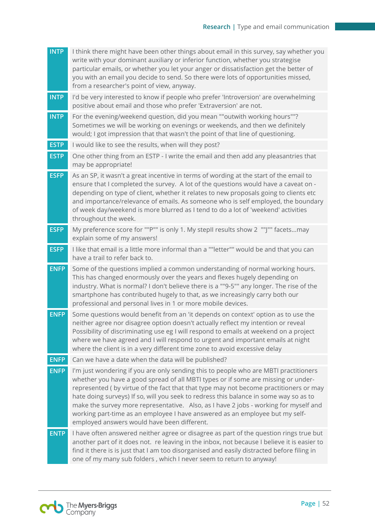| <b>INTP</b> | I think there might have been other things about email in this survey, say whether you<br>write with your dominant auxiliary or inferior function, whether you strategise<br>particular emails, or whether you let your anger or dissatisfaction get the better of<br>you with an email you decide to send. So there were lots of opportunities missed,<br>from a researcher's point of view, anyway.                                                                                                                                                                              |
|-------------|------------------------------------------------------------------------------------------------------------------------------------------------------------------------------------------------------------------------------------------------------------------------------------------------------------------------------------------------------------------------------------------------------------------------------------------------------------------------------------------------------------------------------------------------------------------------------------|
| <b>INTP</b> | I'd be very interested to know if people who prefer 'Introversion' are overwhelming<br>positive about email and those who prefer 'Extraversion' are not.                                                                                                                                                                                                                                                                                                                                                                                                                           |
| <b>INTP</b> | For the evening/weekend question, did you mean ""outwith working hours""?<br>Sometimes we will be working on evenings or weekends, and then we definitely<br>would; I got impression that that wasn't the point of that line of questioning.                                                                                                                                                                                                                                                                                                                                       |
| <b>ESTP</b> | I would like to see the results, when will they post?                                                                                                                                                                                                                                                                                                                                                                                                                                                                                                                              |
| <b>ESTP</b> | One other thing from an ESTP - I write the email and then add any pleasantries that<br>may be appropriate!                                                                                                                                                                                                                                                                                                                                                                                                                                                                         |
| <b>ESFP</b> | As an SP, it wasn't a great incentive in terms of wording at the start of the email to<br>ensure that I completed the survey. A lot of the questions would have a caveat on -<br>depending on type of client, whether it relates to new proposals going to clients etc<br>and importance/relevance of emails. As someone who is self employed, the boundary<br>of week day/weekend is more blurred as I tend to do a lot of 'weekend' activities<br>throughout the week.                                                                                                           |
| <b>ESFP</b> | My preference score for ""P"" is only 1. My stepII results show 2 ""J"" facetsmay<br>explain some of my answers!                                                                                                                                                                                                                                                                                                                                                                                                                                                                   |
| <b>ESFP</b> | I like that email is a little more informal than a ""letter"" would be and that you can<br>have a trail to refer back to.                                                                                                                                                                                                                                                                                                                                                                                                                                                          |
| <b>ENFP</b> | Some of the questions implied a common understanding of normal working hours.<br>This has changed enormously over the years and flexes hugely depending on<br>industry. What is normal? I don't believe there is a ""9-5"" any longer. The rise of the<br>smartphone has contributed hugely to that, as we increasingly carry both our<br>professional and personal lives in 1 or more mobile devices.                                                                                                                                                                             |
| <b>ENFP</b> | Some questions would benefit from an 'it depends on context' option as to use the<br>neither agree nor disagree option doesn't actually reflect my intention or reveal<br>Possibility of discriminating use eg I will respond to emails at weekend on a project<br>where we have agreed and I will respond to urgent and important emails at night<br>where the client is in a very different time zone to avoid excessive delay                                                                                                                                                   |
| <b>ENFP</b> | Can we have a date when the data will be published?                                                                                                                                                                                                                                                                                                                                                                                                                                                                                                                                |
| <b>ENFP</b> | I'm just wondering if you are only sending this to people who are MBTI practitioners<br>whether you have a good spread of all MBTI types or if some are missing or under-<br>represented (by virtue of the fact that that type may not become practitioners or may<br>hate doing surveys) If so, will you seek to redress this balance in some way so as to<br>make the survey more representative. Also, as I have 2 jobs - working for myself and<br>working part-time as an employee I have answered as an employee but my self-<br>employed answers would have been different. |
| <b>ENTP</b> | I have often answered neither agree or disagree as part of the question rings true but<br>another part of it does not. re leaving in the inbox, not because I believe it is easier to<br>find it there is is just that I am too disorganised and easily distracted before filing in<br>one of my many sub folders, which I never seem to return to anyway!                                                                                                                                                                                                                         |
|             |                                                                                                                                                                                                                                                                                                                                                                                                                                                                                                                                                                                    |